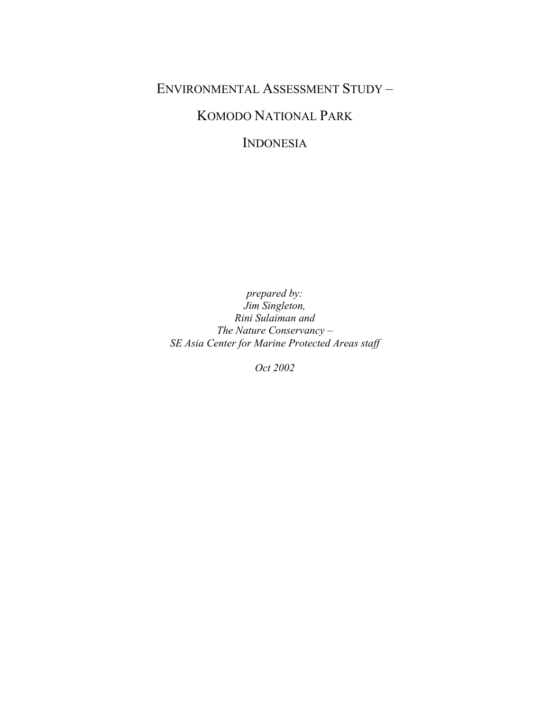## ENVIRONMENTAL ASSESSMENT STUDY –

# KOMODO NATIONAL PARK

INDONESIA

*prepared by: Jim Singleton, Rini Sulaiman and The Nature Conservancy – SE Asia Center for Marine Protected Areas staff* 

*Oct 2002*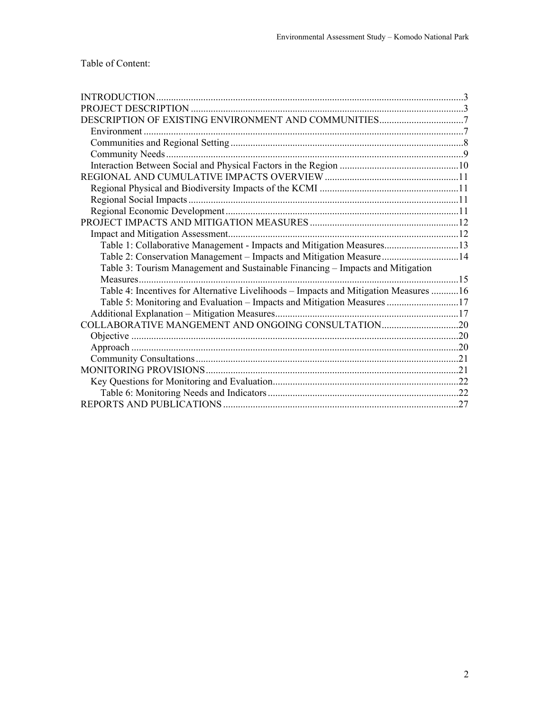| Environment                                                                          |  |
|--------------------------------------------------------------------------------------|--|
|                                                                                      |  |
|                                                                                      |  |
|                                                                                      |  |
|                                                                                      |  |
|                                                                                      |  |
|                                                                                      |  |
|                                                                                      |  |
|                                                                                      |  |
|                                                                                      |  |
| Table 1: Collaborative Management - Impacts and Mitigation Measures13                |  |
| Table 2: Conservation Management - Impacts and Mitigation Measure14                  |  |
| Table 3: Tourism Management and Sustainable Financing – Impacts and Mitigation       |  |
|                                                                                      |  |
| Table 4: Incentives for Alternative Livelihoods - Impacts and Mitigation Measures 16 |  |
| Table 5: Monitoring and Evaluation – Impacts and Mitigation Measures 17              |  |
|                                                                                      |  |
| COLLABORATIVE MANGEMENT AND ONGOING CONSULTATION20                                   |  |
|                                                                                      |  |
|                                                                                      |  |
|                                                                                      |  |
|                                                                                      |  |
|                                                                                      |  |
|                                                                                      |  |
|                                                                                      |  |
|                                                                                      |  |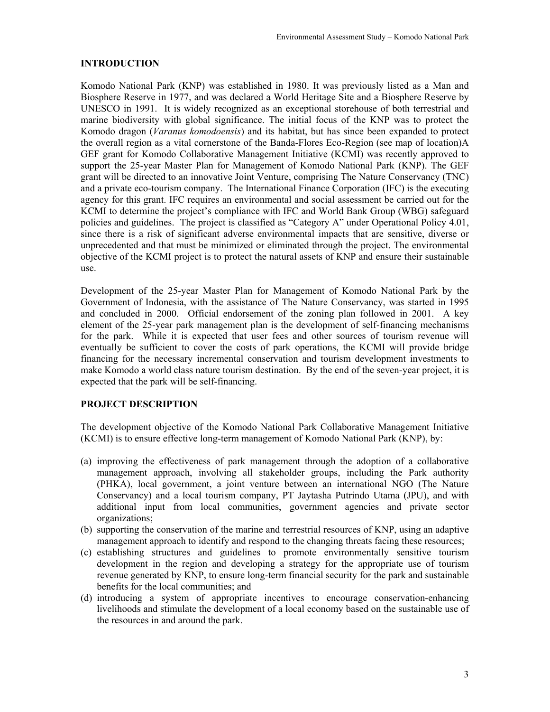## **INTRODUCTION**

Komodo National Park (KNP) was established in 1980. It was previously listed as a Man and Biosphere Reserve in 1977, and was declared a World Heritage Site and a Biosphere Reserve by UNESCO in 1991. It is widely recognized as an exceptional storehouse of both terrestrial and marine biodiversity with global significance. The initial focus of the KNP was to protect the Komodo dragon (*Varanus komodoensis*) and its habitat, but has since been expanded to protect the overall region as a vital cornerstone of the Banda-Flores Eco-Region (see map of location)A GEF grant for Komodo Collaborative Management Initiative (KCMI) was recently approved to support the 25-year Master Plan for Management of Komodo National Park (KNP). The GEF grant will be directed to an innovative Joint Venture, comprising The Nature Conservancy (TNC) and a private eco-tourism company. The International Finance Corporation (IFC) is the executing agency for this grant. IFC requires an environmental and social assessment be carried out for the KCMI to determine the project's compliance with IFC and World Bank Group (WBG) safeguard policies and guidelines. The project is classified as "Category A" under Operational Policy 4.01, since there is a risk of significant adverse environmental impacts that are sensitive, diverse or unprecedented and that must be minimized or eliminated through the project. The environmental objective of the KCMI project is to protect the natural assets of KNP and ensure their sustainable use.

Development of the 25-year Master Plan for Management of Komodo National Park by the Government of Indonesia, with the assistance of The Nature Conservancy, was started in 1995 and concluded in 2000. Official endorsement of the zoning plan followed in 2001. A key element of the 25-year park management plan is the development of self-financing mechanisms for the park. While it is expected that user fees and other sources of tourism revenue will eventually be sufficient to cover the costs of park operations, the KCMI will provide bridge financing for the necessary incremental conservation and tourism development investments to make Komodo a world class nature tourism destination. By the end of the seven-year project, it is expected that the park will be self-financing.

## **PROJECT DESCRIPTION**

The development objective of the Komodo National Park Collaborative Management Initiative (KCMI) is to ensure effective long-term management of Komodo National Park (KNP), by:

- (a) improving the effectiveness of park management through the adoption of a collaborative management approach, involving all stakeholder groups, including the Park authority (PHKA), local government, a joint venture between an international NGO (The Nature Conservancy) and a local tourism company, PT Jaytasha Putrindo Utama (JPU), and with additional input from local communities, government agencies and private sector organizations;
- (b) supporting the conservation of the marine and terrestrial resources of KNP, using an adaptive management approach to identify and respond to the changing threats facing these resources;
- (c) establishing structures and guidelines to promote environmentally sensitive tourism development in the region and developing a strategy for the appropriate use of tourism revenue generated by KNP, to ensure long-term financial security for the park and sustainable benefits for the local communities; and
- (d) introducing a system of appropriate incentives to encourage conservation-enhancing livelihoods and stimulate the development of a local economy based on the sustainable use of the resources in and around the park.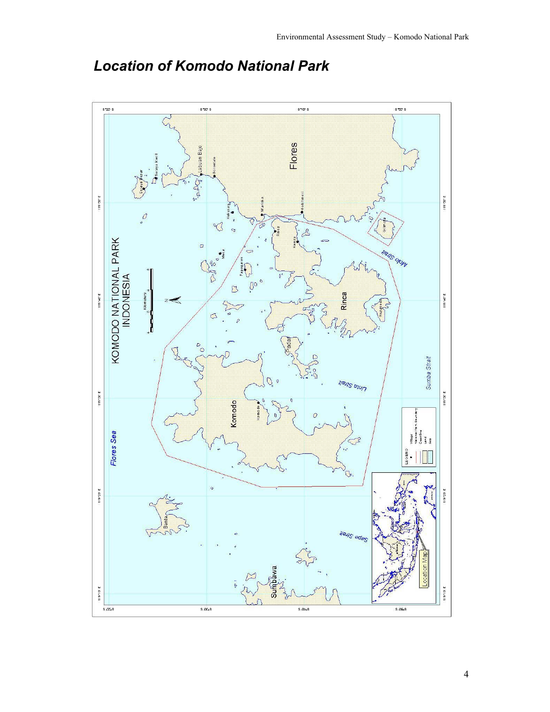

# *Location of Komodo National Park*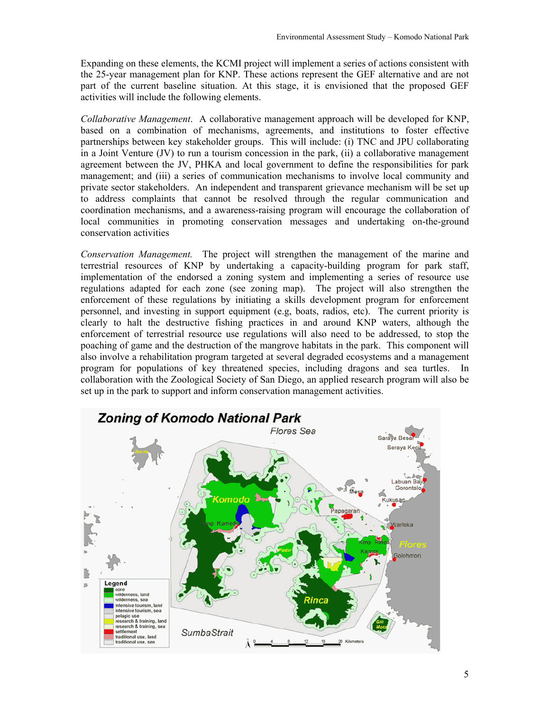Expanding on these elements, the KCMI project will implement a series of actions consistent with the 25-year management plan for KNP. These actions represent the GEF alternative and are not part of the current baseline situation. At this stage, it is envisioned that the proposed GEF activities will include the following elements.

*Collaborative Management*. A collaborative management approach will be developed for KNP, based on a combination of mechanisms, agreements, and institutions to foster effective partnerships between key stakeholder groups. This will include: (i) TNC and JPU collaborating in a Joint Venture (JV) to run a tourism concession in the park, (ii) a collaborative management agreement between the JV, PHKA and local government to define the responsibilities for park management; and (iii) a series of communication mechanisms to involve local community and private sector stakeholders. An independent and transparent grievance mechanism will be set up to address complaints that cannot be resolved through the regular communication and coordination mechanisms, and a awareness-raising program will encourage the collaboration of local communities in promoting conservation messages and undertaking on-the-ground conservation activities

*Conservation Management.* The project will strengthen the management of the marine and terrestrial resources of KNP by undertaking a capacity-building program for park staff, implementation of the endorsed a zoning system and implementing a series of resource use regulations adapted for each zone (see zoning map). The project will also strengthen the enforcement of these regulations by initiating a skills development program for enforcement personnel, and investing in support equipment (e.g, boats, radios, etc). The current priority is clearly to halt the destructive fishing practices in and around KNP waters, although the enforcement of terrestrial resource use regulations will also need to be addressed, to stop the poaching of game and the destruction of the mangrove habitats in the park. This component will also involve a rehabilitation program targeted at several degraded ecosystems and a management program for populations of key threatened species, including dragons and sea turtles. In collaboration with the Zoological Society of San Diego, an applied research program will also be set up in the park to support and inform conservation management activities.

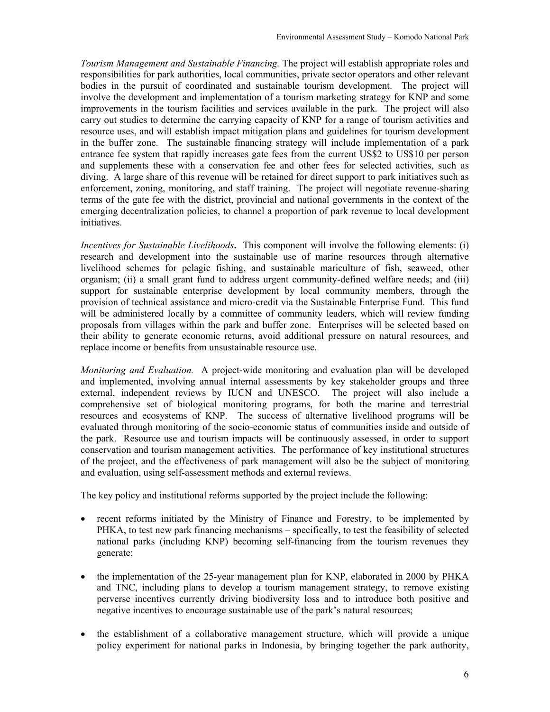*Tourism Management and Sustainable Financing.* The project will establish appropriate roles and responsibilities for park authorities, local communities, private sector operators and other relevant bodies in the pursuit of coordinated and sustainable tourism development. The project will involve the development and implementation of a tourism marketing strategy for KNP and some improvements in the tourism facilities and services available in the park. The project will also carry out studies to determine the carrying capacity of KNP for a range of tourism activities and resource uses, and will establish impact mitigation plans and guidelines for tourism development in the buffer zone. The sustainable financing strategy will include implementation of a park entrance fee system that rapidly increases gate fees from the current US\$2 to US\$10 per person and supplements these with a conservation fee and other fees for selected activities, such as diving. A large share of this revenue will be retained for direct support to park initiatives such as enforcement, zoning, monitoring, and staff training. The project will negotiate revenue-sharing terms of the gate fee with the district, provincial and national governments in the context of the emerging decentralization policies, to channel a proportion of park revenue to local development initiatives.

*Incentives for Sustainable Livelihoods***.** This component will involve the following elements: (i) research and development into the sustainable use of marine resources through alternative livelihood schemes for pelagic fishing, and sustainable mariculture of fish, seaweed, other organism; (ii) a small grant fund to address urgent community-defined welfare needs; and (iii) support for sustainable enterprise development by local community members, through the provision of technical assistance and micro-credit via the Sustainable Enterprise Fund. This fund will be administered locally by a committee of community leaders, which will review funding proposals from villages within the park and buffer zone. Enterprises will be selected based on their ability to generate economic returns, avoid additional pressure on natural resources, and replace income or benefits from unsustainable resource use.

*Monitoring and Evaluation.*A project-wide monitoring and evaluation plan will be developed and implemented, involving annual internal assessments by key stakeholder groups and three external, independent reviews by IUCN and UNESCO. The project will also include a comprehensive set of biological monitoring programs, for both the marine and terrestrial resources and ecosystems of KNP. The success of alternative livelihood programs will be evaluated through monitoring of the socio-economic status of communities inside and outside of the park. Resource use and tourism impacts will be continuously assessed, in order to support conservation and tourism management activities. The performance of key institutional structures of the project, and the effectiveness of park management will also be the subject of monitoring and evaluation, using self-assessment methods and external reviews.

The key policy and institutional reforms supported by the project include the following:

- recent reforms initiated by the Ministry of Finance and Forestry, to be implemented by PHKA, to test new park financing mechanisms – specifically, to test the feasibility of selected national parks (including KNP) becoming self-financing from the tourism revenues they generate;
- the implementation of the 25-year management plan for KNP, elaborated in 2000 by PHKA and TNC, including plans to develop a tourism management strategy, to remove existing perverse incentives currently driving biodiversity loss and to introduce both positive and negative incentives to encourage sustainable use of the park's natural resources;
- the establishment of a collaborative management structure, which will provide a unique policy experiment for national parks in Indonesia, by bringing together the park authority,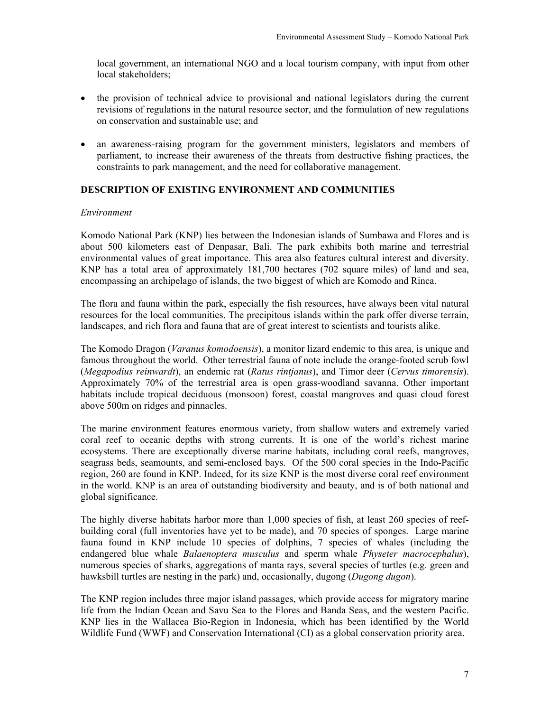local government, an international NGO and a local tourism company, with input from other local stakeholders;

- the provision of technical advice to provisional and national legislators during the current revisions of regulations in the natural resource sector, and the formulation of new regulations on conservation and sustainable use; and
- an awareness-raising program for the government ministers, legislators and members of parliament, to increase their awareness of the threats from destructive fishing practices, the constraints to park management, and the need for collaborative management.

## **DESCRIPTION OF EXISTING ENVIRONMENT AND COMMUNITIES**

#### *Environment*

Komodo National Park (KNP) lies between the Indonesian islands of Sumbawa and Flores and is about 500 kilometers east of Denpasar, Bali. The park exhibits both marine and terrestrial environmental values of great importance. This area also features cultural interest and diversity. KNP has a total area of approximately 181,700 hectares (702 square miles) of land and sea, encompassing an archipelago of islands, the two biggest of which are Komodo and Rinca.

The flora and fauna within the park, especially the fish resources, have always been vital natural resources for the local communities. The precipitous islands within the park offer diverse terrain, landscapes, and rich flora and fauna that are of great interest to scientists and tourists alike.

The Komodo Dragon (*Varanus komodoensis*), a monitor lizard endemic to this area, is unique and famous throughout the world. Other terrestrial fauna of note include the orange-footed scrub fowl (*Megapodius reinwardt*), an endemic rat (*Ratus rintjanus*), and Timor deer (*Cervus timorensis*). Approximately 70% of the terrestrial area is open grass-woodland savanna. Other important habitats include tropical deciduous (monsoon) forest, coastal mangroves and quasi cloud forest above 500m on ridges and pinnacles.

The marine environment features enormous variety, from shallow waters and extremely varied coral reef to oceanic depths with strong currents. It is one of the world's richest marine ecosystems. There are exceptionally diverse marine habitats, including coral reefs, mangroves, seagrass beds, seamounts, and semi-enclosed bays. Of the 500 coral species in the Indo-Pacific region, 260 are found in KNP. Indeed, for its size KNP is the most diverse coral reef environment in the world. KNP is an area of outstanding biodiversity and beauty, and is of both national and global significance.

The highly diverse habitats harbor more than 1,000 species of fish, at least 260 species of reefbuilding coral (full inventories have yet to be made), and 70 species of sponges. Large marine fauna found in KNP include 10 species of dolphins, 7 species of whales (including the endangered blue whale *Balaenoptera musculus* and sperm whale *Physeter macrocephalus*), numerous species of sharks, aggregations of manta rays, several species of turtles (e.g. green and hawksbill turtles are nesting in the park) and, occasionally, dugong (*Dugong dugon*).

The KNP region includes three major island passages, which provide access for migratory marine life from the Indian Ocean and Savu Sea to the Flores and Banda Seas, and the western Pacific. KNP lies in the Wallacea Bio-Region in Indonesia, which has been identified by the World Wildlife Fund (WWF) and Conservation International (CI) as a global conservation priority area.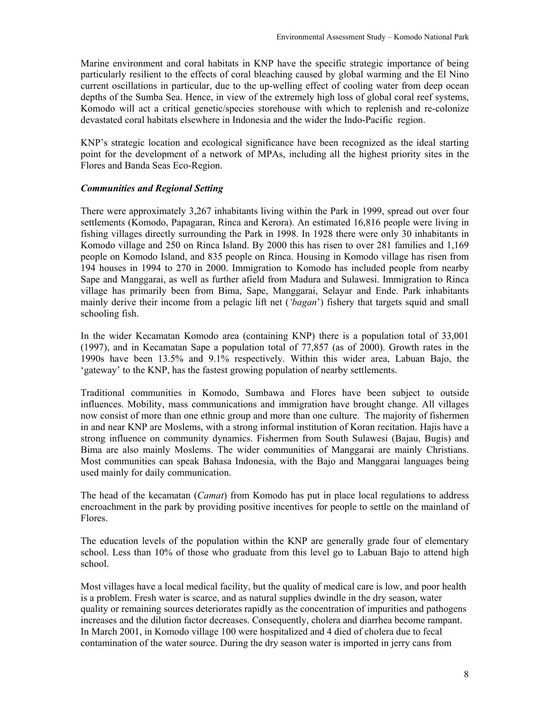Marine environment and coral habitats in KNP have the specific strategic importance of being particularly resilient to the effects of coral bleaching caused by global warming and the El Nino current oscillations in particular, due to the up-welling effect of cooling water from deep ocean depths of the Sumba Sea. Hence, in view of the extremely high loss of global coral reef systems, Komodo will act a critical genetic/species storehouse with which to replenish and re-colonize devastated coral habitats elsewhere in Indonesia and the wider the Indo-Pacific region.

KNP's strategic location and ecological significance have been recognized as the ideal starting point for the development of a network of MPAs, including all the highest priority sites in the Flores and Banda Seas Eco-Region.

## *Communities and Regional Setting*

There were approximately 3,267 inhabitants living within the Park in 1999, spread out over four settlements (Komodo, Papagaran, Rinca and Kerora). An estimated 16,816 people were living in fishing villages directly surrounding the Park in 1998. In 1928 there were only 30 inhabitants in Komodo village and 250 on Rinca Island. By 2000 this has risen to over 281 families and 1,169 people on Komodo Island, and 835 people on Rinca. Housing in Komodo village has risen from 194 houses in 1994 to 270 in 2000. Immigration to Komodo has included people from nearby Sape and Manggarai, as well as further afield from Madura and Sulawesi. Immigration to Rinca village has primarily been from Bima, Sape, Manggarai, Selayar and Ende. Park inhabitants mainly derive their income from a pelagic lift net (*'bagan*') fishery that targets squid and small schooling fish.

In the wider Kecamatan Komodo area (containing KNP) there is a population total of 33,001 (1997), and in Kecamatan Sape a population total of 77,857 (as of 2000). Growth rates in the 1990s have been 13.5% and 9.1% respectively. Within this wider area, Labuan Bajo, the 'gateway' to the KNP, has the fastest growing population of nearby settlements.

Traditional communities in Komodo, Sumbawa and Flores have been subject to outside influences. Mobility, mass communications and immigration have brought change. All villages now consist of more than one ethnic group and more than one culture. The majority of fishermen in and near KNP are Moslems, with a strong informal institution of Koran recitation. Hajis have a strong influence on community dynamics. Fishermen from South Sulawesi (Bajau, Bugis) and Bima are also mainly Moslems. The wider communities of Manggarai are mainly Christians. Most communities can speak Bahasa Indonesia, with the Bajo and Manggarai languages being used mainly for daily communication.

The head of the kecamatan (*Camat*) from Komodo has put in place local regulations to address encroachment in the park by providing positive incentives for people to settle on the mainland of Flores.

The education levels of the population within the KNP are generally grade four of elementary school. Less than 10% of those who graduate from this level go to Labuan Bajo to attend high school.

Most villages have a local medical facility, but the quality of medical care is low, and poor health is a problem. Fresh water is scarce, and as natural supplies dwindle in the dry season, water quality or remaining sources deteriorates rapidly as the concentration of impurities and pathogens increases and the dilution factor decreases. Consequently, cholera and diarrhea become rampant. In March 2001, in Komodo village 100 were hospitalized and 4 died of cholera due to fecal contamination of the water source. During the dry season water is imported in jerry cans from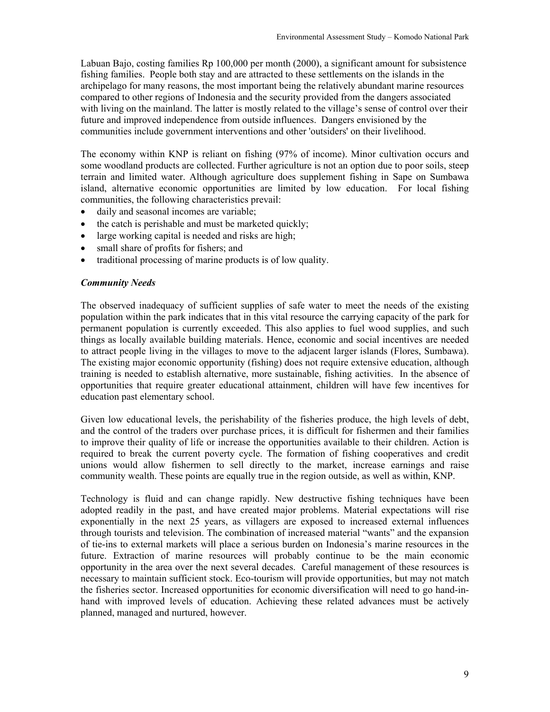Labuan Bajo, costing families Rp 100,000 per month (2000), a significant amount for subsistence fishing families. People both stay and are attracted to these settlements on the islands in the archipelago for many reasons, the most important being the relatively abundant marine resources compared to other regions of Indonesia and the security provided from the dangers associated with living on the mainland. The latter is mostly related to the village's sense of control over their future and improved independence from outside influences. Dangers envisioned by the communities include government interventions and other 'outsiders' on their livelihood.

The economy within KNP is reliant on fishing (97% of income). Minor cultivation occurs and some woodland products are collected. Further agriculture is not an option due to poor soils, steep terrain and limited water. Although agriculture does supplement fishing in Sape on Sumbawa island, alternative economic opportunities are limited by low education. For local fishing communities, the following characteristics prevail:

- daily and seasonal incomes are variable;
- the catch is perishable and must be marketed quickly;
- large working capital is needed and risks are high;
- small share of profits for fishers; and
- traditional processing of marine products is of low quality.

#### *Community Needs*

The observed inadequacy of sufficient supplies of safe water to meet the needs of the existing population within the park indicates that in this vital resource the carrying capacity of the park for permanent population is currently exceeded. This also applies to fuel wood supplies, and such things as locally available building materials. Hence, economic and social incentives are needed to attract people living in the villages to move to the adjacent larger islands (Flores, Sumbawa). The existing major economic opportunity (fishing) does not require extensive education, although training is needed to establish alternative, more sustainable, fishing activities. In the absence of opportunities that require greater educational attainment, children will have few incentives for education past elementary school.

Given low educational levels, the perishability of the fisheries produce, the high levels of debt, and the control of the traders over purchase prices, it is difficult for fishermen and their families to improve their quality of life or increase the opportunities available to their children. Action is required to break the current poverty cycle. The formation of fishing cooperatives and credit unions would allow fishermen to sell directly to the market, increase earnings and raise community wealth. These points are equally true in the region outside, as well as within, KNP.

Technology is fluid and can change rapidly. New destructive fishing techniques have been adopted readily in the past, and have created major problems. Material expectations will rise exponentially in the next 25 years, as villagers are exposed to increased external influences through tourists and television. The combination of increased material "wants" and the expansion of tie-ins to external markets will place a serious burden on Indonesia's marine resources in the future. Extraction of marine resources will probably continue to be the main economic opportunity in the area over the next several decades. Careful management of these resources is necessary to maintain sufficient stock. Eco-tourism will provide opportunities, but may not match the fisheries sector. Increased opportunities for economic diversification will need to go hand-inhand with improved levels of education. Achieving these related advances must be actively planned, managed and nurtured, however.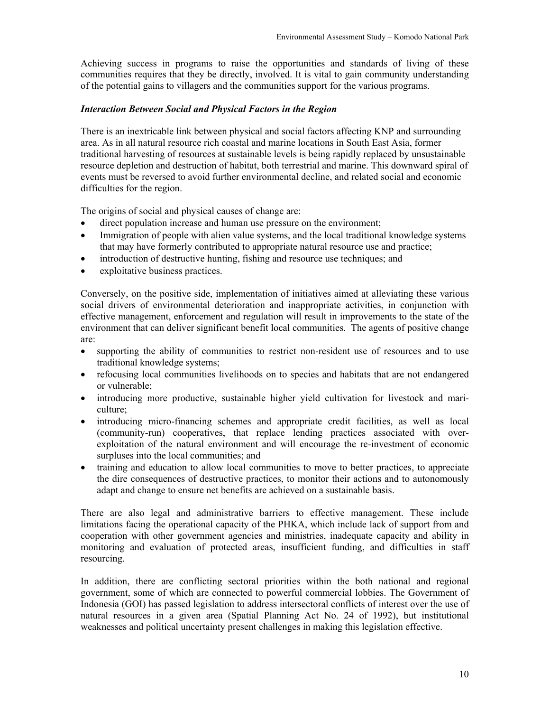Achieving success in programs to raise the opportunities and standards of living of these communities requires that they be directly, involved. It is vital to gain community understanding of the potential gains to villagers and the communities support for the various programs.

## *Interaction Between Social and Physical Factors in the Region*

There is an inextricable link between physical and social factors affecting KNP and surrounding area. As in all natural resource rich coastal and marine locations in South East Asia, former traditional harvesting of resources at sustainable levels is being rapidly replaced by unsustainable resource depletion and destruction of habitat, both terrestrial and marine. This downward spiral of events must be reversed to avoid further environmental decline, and related social and economic difficulties for the region.

The origins of social and physical causes of change are:

- direct population increase and human use pressure on the environment;
- Immigration of people with alien value systems, and the local traditional knowledge systems that may have formerly contributed to appropriate natural resource use and practice;
- introduction of destructive hunting, fishing and resource use techniques; and
- exploitative business practices.

Conversely, on the positive side, implementation of initiatives aimed at alleviating these various social drivers of environmental deterioration and inappropriate activities, in conjunction with effective management, enforcement and regulation will result in improvements to the state of the environment that can deliver significant benefit local communities. The agents of positive change are:

- supporting the ability of communities to restrict non-resident use of resources and to use traditional knowledge systems;
- refocusing local communities livelihoods on to species and habitats that are not endangered or vulnerable;
- introducing more productive, sustainable higher yield cultivation for livestock and mariculture;
- introducing micro-financing schemes and appropriate credit facilities, as well as local (community-run) cooperatives, that replace lending practices associated with overexploitation of the natural environment and will encourage the re-investment of economic surpluses into the local communities; and
- training and education to allow local communities to move to better practices, to appreciate the dire consequences of destructive practices, to monitor their actions and to autonomously adapt and change to ensure net benefits are achieved on a sustainable basis.

There are also legal and administrative barriers to effective management. These include limitations facing the operational capacity of the PHKA, which include lack of support from and cooperation with other government agencies and ministries, inadequate capacity and ability in monitoring and evaluation of protected areas, insufficient funding, and difficulties in staff resourcing.

In addition, there are conflicting sectoral priorities within the both national and regional government, some of which are connected to powerful commercial lobbies. The Government of Indonesia (GOI) has passed legislation to address intersectoral conflicts of interest over the use of natural resources in a given area (Spatial Planning Act No. 24 of 1992), but institutional weaknesses and political uncertainty present challenges in making this legislation effective.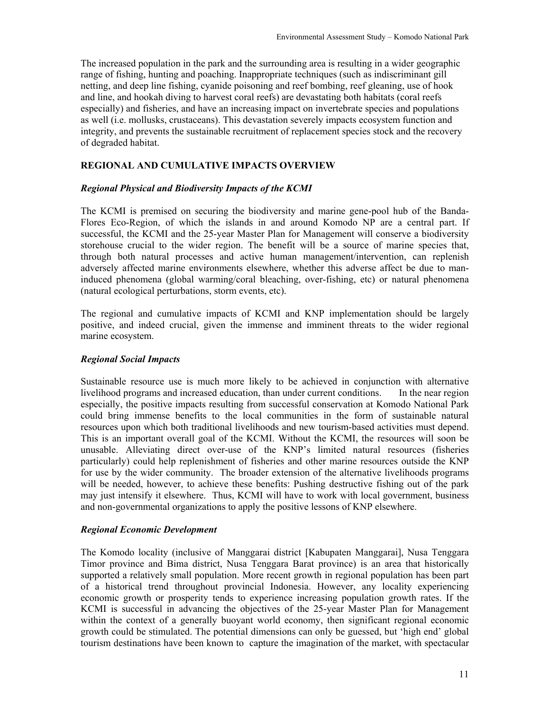The increased population in the park and the surrounding area is resulting in a wider geographic range of fishing, hunting and poaching. Inappropriate techniques (such as indiscriminant gill netting, and deep line fishing, cyanide poisoning and reef bombing, reef gleaning, use of hook and line, and hookah diving to harvest coral reefs) are devastating both habitats (coral reefs especially) and fisheries, and have an increasing impact on invertebrate species and populations as well (i.e. mollusks, crustaceans). This devastation severely impacts ecosystem function and integrity, and prevents the sustainable recruitment of replacement species stock and the recovery of degraded habitat.

### **REGIONAL AND CUMULATIVE IMPACTS OVERVIEW**

#### *Regional Physical and Biodiversity Impacts of the KCMI*

The KCMI is premised on securing the biodiversity and marine gene-pool hub of the Banda-Flores Eco-Region, of which the islands in and around Komodo NP are a central part. If successful, the KCMI and the 25-year Master Plan for Management will conserve a biodiversity storehouse crucial to the wider region. The benefit will be a source of marine species that, through both natural processes and active human management/intervention, can replenish adversely affected marine environments elsewhere, whether this adverse affect be due to maninduced phenomena (global warming/coral bleaching, over-fishing, etc) or natural phenomena (natural ecological perturbations, storm events, etc).

The regional and cumulative impacts of KCMI and KNP implementation should be largely positive, and indeed crucial, given the immense and imminent threats to the wider regional marine ecosystem.

#### *Regional Social Impacts*

Sustainable resource use is much more likely to be achieved in conjunction with alternative livelihood programs and increased education, than under current conditions. In the near region especially, the positive impacts resulting from successful conservation at Komodo National Park could bring immense benefits to the local communities in the form of sustainable natural resources upon which both traditional livelihoods and new tourism-based activities must depend. This is an important overall goal of the KCMI. Without the KCMI, the resources will soon be unusable. Alleviating direct over-use of the KNP's limited natural resources (fisheries particularly) could help replenishment of fisheries and other marine resources outside the KNP for use by the wider community. The broader extension of the alternative livelihoods programs will be needed, however, to achieve these benefits: Pushing destructive fishing out of the park may just intensify it elsewhere. Thus, KCMI will have to work with local government, business and non-governmental organizations to apply the positive lessons of KNP elsewhere.

#### *Regional Economic Development*

The Komodo locality (inclusive of Manggarai district [Kabupaten Manggarai], Nusa Tenggara Timor province and Bima district, Nusa Tenggara Barat province) is an area that historically supported a relatively small population. More recent growth in regional population has been part of a historical trend throughout provincial Indonesia. However, any locality experiencing economic growth or prosperity tends to experience increasing population growth rates. If the KCMI is successful in advancing the objectives of the 25-year Master Plan for Management within the context of a generally buoyant world economy, then significant regional economic growth could be stimulated. The potential dimensions can only be guessed, but 'high end' global tourism destinations have been known to capture the imagination of the market, with spectacular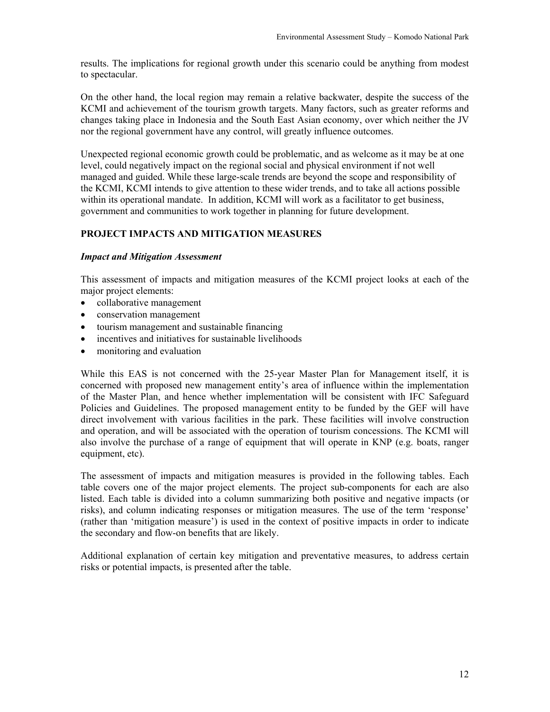results. The implications for regional growth under this scenario could be anything from modest to spectacular.

On the other hand, the local region may remain a relative backwater, despite the success of the KCMI and achievement of the tourism growth targets. Many factors, such as greater reforms and changes taking place in Indonesia and the South East Asian economy, over which neither the JV nor the regional government have any control, will greatly influence outcomes.

Unexpected regional economic growth could be problematic, and as welcome as it may be at one level, could negatively impact on the regional social and physical environment if not well managed and guided. While these large-scale trends are beyond the scope and responsibility of the KCMI, KCMI intends to give attention to these wider trends, and to take all actions possible within its operational mandate. In addition, KCMI will work as a facilitator to get business, government and communities to work together in planning for future development.

## **PROJECT IMPACTS AND MITIGATION MEASURES**

#### *Impact and Mitigation Assessment*

This assessment of impacts and mitigation measures of the KCMI project looks at each of the major project elements:

- collaborative management
- conservation management
- tourism management and sustainable financing
- incentives and initiatives for sustainable livelihoods
- monitoring and evaluation

While this EAS is not concerned with the 25-year Master Plan for Management itself, it is concerned with proposed new management entity's area of influence within the implementation of the Master Plan, and hence whether implementation will be consistent with IFC Safeguard Policies and Guidelines. The proposed management entity to be funded by the GEF will have direct involvement with various facilities in the park. These facilities will involve construction and operation, and will be associated with the operation of tourism concessions. The KCMI will also involve the purchase of a range of equipment that will operate in KNP (e.g. boats, ranger equipment, etc).

The assessment of impacts and mitigation measures is provided in the following tables. Each table covers one of the major project elements. The project sub-components for each are also listed. Each table is divided into a column summarizing both positive and negative impacts (or risks), and column indicating responses or mitigation measures. The use of the term 'response' (rather than 'mitigation measure') is used in the context of positive impacts in order to indicate the secondary and flow-on benefits that are likely.

Additional explanation of certain key mitigation and preventative measures, to address certain risks or potential impacts, is presented after the table.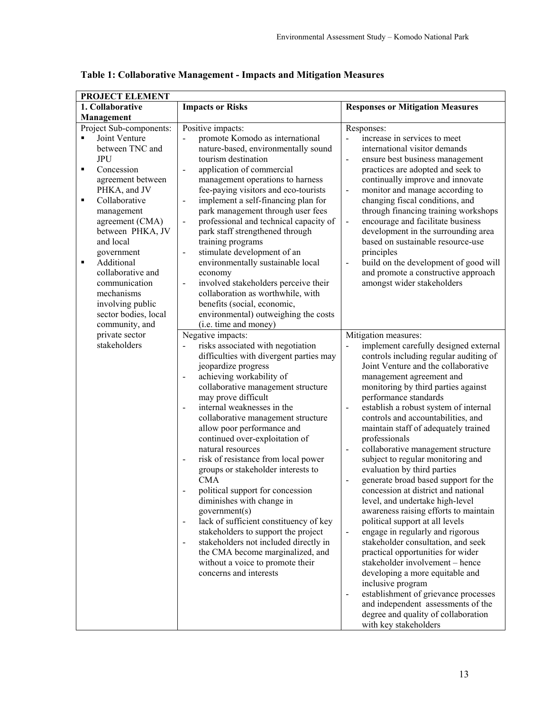| PROJECT ELEMENT                                                                                                                                                                                                                                                                                                                                                                                             |                                                                                                                                                                                                                                                                                                                                                                                                                                                                                                                                                                                                                                                                                                                                                                                                                                                                   |                                                                                                                                                                                                                                                                                                                                                                                                                                                                                                                                                                                                                                                                                                                                                                                                                                                                                                                                                                                                                                                                                                                                                                  |
|-------------------------------------------------------------------------------------------------------------------------------------------------------------------------------------------------------------------------------------------------------------------------------------------------------------------------------------------------------------------------------------------------------------|-------------------------------------------------------------------------------------------------------------------------------------------------------------------------------------------------------------------------------------------------------------------------------------------------------------------------------------------------------------------------------------------------------------------------------------------------------------------------------------------------------------------------------------------------------------------------------------------------------------------------------------------------------------------------------------------------------------------------------------------------------------------------------------------------------------------------------------------------------------------|------------------------------------------------------------------------------------------------------------------------------------------------------------------------------------------------------------------------------------------------------------------------------------------------------------------------------------------------------------------------------------------------------------------------------------------------------------------------------------------------------------------------------------------------------------------------------------------------------------------------------------------------------------------------------------------------------------------------------------------------------------------------------------------------------------------------------------------------------------------------------------------------------------------------------------------------------------------------------------------------------------------------------------------------------------------------------------------------------------------------------------------------------------------|
| 1. Collaborative                                                                                                                                                                                                                                                                                                                                                                                            | <b>Impacts or Risks</b>                                                                                                                                                                                                                                                                                                                                                                                                                                                                                                                                                                                                                                                                                                                                                                                                                                           | <b>Responses or Mitigation Measures</b>                                                                                                                                                                                                                                                                                                                                                                                                                                                                                                                                                                                                                                                                                                                                                                                                                                                                                                                                                                                                                                                                                                                          |
| Management                                                                                                                                                                                                                                                                                                                                                                                                  |                                                                                                                                                                                                                                                                                                                                                                                                                                                                                                                                                                                                                                                                                                                                                                                                                                                                   |                                                                                                                                                                                                                                                                                                                                                                                                                                                                                                                                                                                                                                                                                                                                                                                                                                                                                                                                                                                                                                                                                                                                                                  |
| Project Sub-components:<br>Joint Venture<br>$\blacksquare$<br>between TNC and<br><b>JPU</b><br>Concession<br>Ξ<br>agreement between<br>PHKA, and JV<br>Collaborative<br>٠<br>management<br>agreement (CMA)<br>between PHKA, JV<br>and local<br>government<br>Additional<br>$\blacksquare$<br>collaborative and<br>communication<br>mechanisms<br>involving public<br>sector bodies, local<br>community, and | Positive impacts:<br>promote Komodo as international<br>nature-based, environmentally sound<br>tourism destination<br>application of commercial<br>$\blacksquare$<br>management operations to harness<br>fee-paying visitors and eco-tourists<br>implement a self-financing plan for<br>$\blacksquare$<br>park management through user fees<br>professional and technical capacity of<br>$\blacksquare$<br>park staff strengthened through<br>training programs<br>stimulate development of an<br>$\blacksquare$<br>environmentally sustainable local<br>economy<br>involved stakeholders perceive their<br>$\blacksquare$<br>collaboration as worthwhile, with<br>benefits (social, economic,<br>environmental) outweighing the costs<br>(i.e. time and money)                                                                                                   | Responses:<br>increase in services to meet<br>international visitor demands<br>ensure best business management<br>$\blacksquare$<br>practices are adopted and seek to<br>continually improve and innovate<br>monitor and manage according to<br>$\blacksquare$<br>changing fiscal conditions, and<br>through financing training workshops<br>encourage and facilitate business<br>$\blacksquare$<br>development in the surrounding area<br>based on sustainable resource-use<br>principles<br>build on the development of good will<br>$\frac{1}{2}$<br>and promote a constructive approach<br>amongst wider stakeholders                                                                                                                                                                                                                                                                                                                                                                                                                                                                                                                                        |
| private sector<br>stakeholders                                                                                                                                                                                                                                                                                                                                                                              | Negative impacts:<br>risks associated with negotiation<br>difficulties with divergent parties may<br>jeopardize progress<br>achieving workability of<br>collaborative management structure<br>may prove difficult<br>internal weaknesses in the<br>collaborative management structure<br>allow poor performance and<br>continued over-exploitation of<br>natural resources<br>risk of resistance from local power<br>$\overline{\phantom{a}}$<br>groups or stakeholder interests to<br><b>CMA</b><br>political support for concession<br>diminishes with change in<br>government(s)<br>lack of sufficient constituency of key<br>$\qquad \qquad \blacksquare$<br>stakeholders to support the project<br>stakeholders not included directly in<br>$\blacksquare$<br>the CMA become marginalized, and<br>without a voice to promote their<br>concerns and interests | Mitigation measures:<br>implement carefully designed external<br>controls including regular auditing of<br>Joint Venture and the collaborative<br>management agreement and<br>monitoring by third parties against<br>performance standards<br>establish a robust system of internal<br>$\overline{\phantom{a}}$<br>controls and accountabilities, and<br>maintain staff of adequately trained<br>professionals<br>collaborative management structure<br>$\qquad \qquad \blacksquare$<br>subject to regular monitoring and<br>evaluation by third parties<br>generate broad based support for the<br>concession at district and national<br>level, and undertake high-level<br>awareness raising efforts to maintain<br>political support at all levels<br>engage in regularly and rigorous<br>$\blacksquare$<br>stakeholder consultation, and seek<br>practical opportunities for wider<br>stakeholder involvement - hence<br>developing a more equitable and<br>inclusive program<br>establishment of grievance processes<br>$\qquad \qquad \blacksquare$<br>and independent assessments of the<br>degree and quality of collaboration<br>with key stakeholders |

**Table 1: Collaborative Management - Impacts and Mitigation Measures**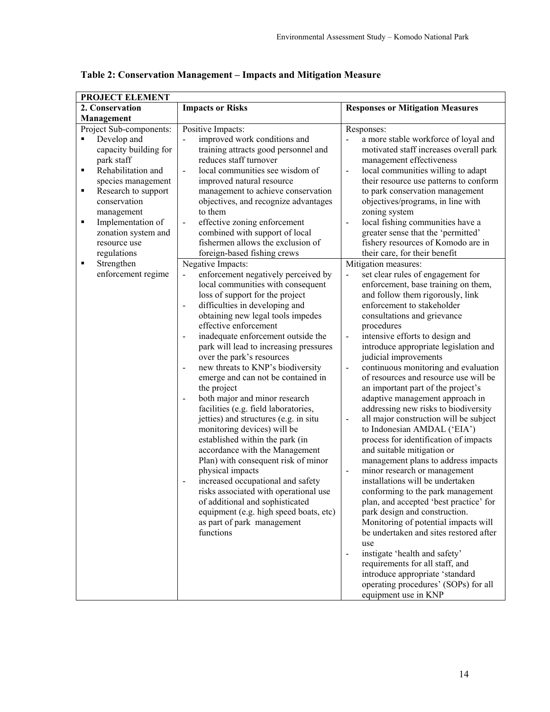| PROJECT ELEMENT                                                                                                                                                                                                                                                                                                                |                                                                                                                                                                                                                                                                                                                                                                                                                                                                                                                                                                                                                                                                                                                                                                                                                                                                                                                                                                                                                                                                                                                                                                                                                                                                                                                                                                                                                                                                            |                                                                                                                                                                                                                                                                                                                                                                                                                                                                                                                                                                                                                                                                                                                                                                                                                                                                                                                                                                                                                                                                                                                                                                                                                                                                                                                                                                                                                                                                                                                                                                                                                                                                                                                                                                                      |
|--------------------------------------------------------------------------------------------------------------------------------------------------------------------------------------------------------------------------------------------------------------------------------------------------------------------------------|----------------------------------------------------------------------------------------------------------------------------------------------------------------------------------------------------------------------------------------------------------------------------------------------------------------------------------------------------------------------------------------------------------------------------------------------------------------------------------------------------------------------------------------------------------------------------------------------------------------------------------------------------------------------------------------------------------------------------------------------------------------------------------------------------------------------------------------------------------------------------------------------------------------------------------------------------------------------------------------------------------------------------------------------------------------------------------------------------------------------------------------------------------------------------------------------------------------------------------------------------------------------------------------------------------------------------------------------------------------------------------------------------------------------------------------------------------------------------|--------------------------------------------------------------------------------------------------------------------------------------------------------------------------------------------------------------------------------------------------------------------------------------------------------------------------------------------------------------------------------------------------------------------------------------------------------------------------------------------------------------------------------------------------------------------------------------------------------------------------------------------------------------------------------------------------------------------------------------------------------------------------------------------------------------------------------------------------------------------------------------------------------------------------------------------------------------------------------------------------------------------------------------------------------------------------------------------------------------------------------------------------------------------------------------------------------------------------------------------------------------------------------------------------------------------------------------------------------------------------------------------------------------------------------------------------------------------------------------------------------------------------------------------------------------------------------------------------------------------------------------------------------------------------------------------------------------------------------------------------------------------------------------|
| 2. Conservation                                                                                                                                                                                                                                                                                                                | <b>Impacts or Risks</b>                                                                                                                                                                                                                                                                                                                                                                                                                                                                                                                                                                                                                                                                                                                                                                                                                                                                                                                                                                                                                                                                                                                                                                                                                                                                                                                                                                                                                                                    | <b>Responses or Mitigation Measures</b>                                                                                                                                                                                                                                                                                                                                                                                                                                                                                                                                                                                                                                                                                                                                                                                                                                                                                                                                                                                                                                                                                                                                                                                                                                                                                                                                                                                                                                                                                                                                                                                                                                                                                                                                              |
| Management                                                                                                                                                                                                                                                                                                                     |                                                                                                                                                                                                                                                                                                                                                                                                                                                                                                                                                                                                                                                                                                                                                                                                                                                                                                                                                                                                                                                                                                                                                                                                                                                                                                                                                                                                                                                                            |                                                                                                                                                                                                                                                                                                                                                                                                                                                                                                                                                                                                                                                                                                                                                                                                                                                                                                                                                                                                                                                                                                                                                                                                                                                                                                                                                                                                                                                                                                                                                                                                                                                                                                                                                                                      |
| Project Sub-components:<br>Develop and<br>$\blacksquare$<br>capacity building for<br>park staff<br>Rehabilitation and<br>٠<br>species management<br>Research to support<br>٠<br>conservation<br>management<br>Implementation of<br>٠<br>zonation system and<br>resource use<br>regulations<br>Strengthen<br>enforcement regime | Positive Impacts:<br>improved work conditions and<br>$\blacksquare$<br>training attracts good personnel and<br>reduces staff turnover<br>local communities see wisdom of<br>$\blacksquare$<br>improved natural resource<br>management to achieve conservation<br>objectives, and recognize advantages<br>to them<br>effective zoning enforcement<br>$\blacksquare$<br>combined with support of local<br>fishermen allows the exclusion of<br>foreign-based fishing crews<br>Negative Impacts:<br>enforcement negatively perceived by<br>$\blacksquare$<br>local communities with consequent<br>loss of support for the project<br>difficulties in developing and<br>$\overline{\phantom{a}}$<br>obtaining new legal tools impedes<br>effective enforcement<br>inadequate enforcement outside the<br>park will lead to increasing pressures<br>over the park's resources<br>new threats to KNP's biodiversity<br>emerge and can not be contained in<br>the project<br>both major and minor research<br>$\blacksquare$<br>facilities (e.g. field laboratories,<br>jetties) and structures (e.g. in situ<br>monitoring devices) will be<br>established within the park (in<br>accordance with the Management<br>Plan) with consequent risk of minor<br>physical impacts<br>increased occupational and safety<br>risks associated with operational use<br>of additional and sophisticated<br>equipment (e.g. high speed boats, etc)<br>as part of park management<br>functions | Responses:<br>a more stable workforce of loyal and<br>motivated staff increases overall park<br>management effectiveness<br>local communities willing to adapt<br>$\overline{\phantom{0}}$<br>their resource use patterns to conform<br>to park conservation management<br>objectives/programs, in line with<br>zoning system<br>local fishing communities have a<br>$\frac{1}{2}$<br>greater sense that the 'permitted'<br>fishery resources of Komodo are in<br>their care, for their benefit<br>Mitigation measures:<br>set clear rules of engagement for<br>$\overline{a}$<br>enforcement, base training on them,<br>and follow them rigorously, link<br>enforcement to stakeholder<br>consultations and grievance<br>procedures<br>intensive efforts to design and<br>$\blacksquare$<br>introduce appropriate legislation and<br>judicial improvements<br>continuous monitoring and evaluation<br>$\blacksquare$<br>of resources and resource use will be<br>an important part of the project's<br>adaptive management approach in<br>addressing new risks to biodiversity<br>all major construction will be subject<br>$\blacksquare$<br>to Indonesian AMDAL ('EIA')<br>process for identification of impacts<br>and suitable mitigation or<br>management plans to address impacts<br>minor research or management<br>$\qquad \qquad \blacksquare$<br>installations will be undertaken<br>conforming to the park management<br>plan, and accepted 'best practice' for<br>park design and construction.<br>Monitoring of potential impacts will<br>be undertaken and sites restored after<br>use<br>instigate 'health and safety'<br>$\qquad \qquad \blacksquare$<br>requirements for all staff, and<br>introduce appropriate 'standard<br>operating procedures' (SOPs) for all |
|                                                                                                                                                                                                                                                                                                                                |                                                                                                                                                                                                                                                                                                                                                                                                                                                                                                                                                                                                                                                                                                                                                                                                                                                                                                                                                                                                                                                                                                                                                                                                                                                                                                                                                                                                                                                                            | equipment use in KNP                                                                                                                                                                                                                                                                                                                                                                                                                                                                                                                                                                                                                                                                                                                                                                                                                                                                                                                                                                                                                                                                                                                                                                                                                                                                                                                                                                                                                                                                                                                                                                                                                                                                                                                                                                 |

**Table 2: Conservation Management – Impacts and Mitigation Measure**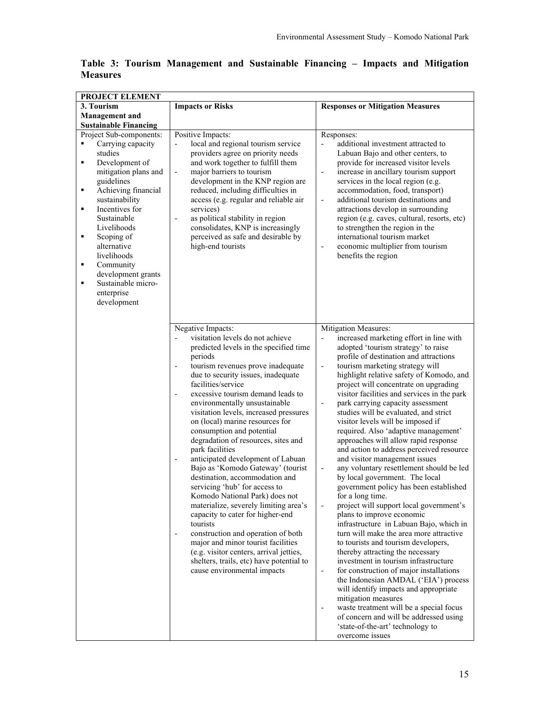| PROJECT ELEMENT                                                                                                                                                                                                                                                                                                                                                                            |                                                                                                                                                                                                                                                                                                                                                                                                                                                                                                                                                                                                                                                                                                                                                                                                                                                                                                                                                                                         |                                                                                                                                                                                                                                                                                                                                                                                                                                                                                                                                                                                                                                                                                                                                                                                                                                                                                                                                                                                                                                                                                                                                                                                                                                                                                                                                                                                                                                              |  |
|--------------------------------------------------------------------------------------------------------------------------------------------------------------------------------------------------------------------------------------------------------------------------------------------------------------------------------------------------------------------------------------------|-----------------------------------------------------------------------------------------------------------------------------------------------------------------------------------------------------------------------------------------------------------------------------------------------------------------------------------------------------------------------------------------------------------------------------------------------------------------------------------------------------------------------------------------------------------------------------------------------------------------------------------------------------------------------------------------------------------------------------------------------------------------------------------------------------------------------------------------------------------------------------------------------------------------------------------------------------------------------------------------|----------------------------------------------------------------------------------------------------------------------------------------------------------------------------------------------------------------------------------------------------------------------------------------------------------------------------------------------------------------------------------------------------------------------------------------------------------------------------------------------------------------------------------------------------------------------------------------------------------------------------------------------------------------------------------------------------------------------------------------------------------------------------------------------------------------------------------------------------------------------------------------------------------------------------------------------------------------------------------------------------------------------------------------------------------------------------------------------------------------------------------------------------------------------------------------------------------------------------------------------------------------------------------------------------------------------------------------------------------------------------------------------------------------------------------------------|--|
| 3. Tourism                                                                                                                                                                                                                                                                                                                                                                                 | <b>Impacts or Risks</b>                                                                                                                                                                                                                                                                                                                                                                                                                                                                                                                                                                                                                                                                                                                                                                                                                                                                                                                                                                 | <b>Responses or Mitigation Measures</b>                                                                                                                                                                                                                                                                                                                                                                                                                                                                                                                                                                                                                                                                                                                                                                                                                                                                                                                                                                                                                                                                                                                                                                                                                                                                                                                                                                                                      |  |
| <b>Management</b> and                                                                                                                                                                                                                                                                                                                                                                      |                                                                                                                                                                                                                                                                                                                                                                                                                                                                                                                                                                                                                                                                                                                                                                                                                                                                                                                                                                                         |                                                                                                                                                                                                                                                                                                                                                                                                                                                                                                                                                                                                                                                                                                                                                                                                                                                                                                                                                                                                                                                                                                                                                                                                                                                                                                                                                                                                                                              |  |
| <b>Sustainable Financing</b>                                                                                                                                                                                                                                                                                                                                                               |                                                                                                                                                                                                                                                                                                                                                                                                                                                                                                                                                                                                                                                                                                                                                                                                                                                                                                                                                                                         |                                                                                                                                                                                                                                                                                                                                                                                                                                                                                                                                                                                                                                                                                                                                                                                                                                                                                                                                                                                                                                                                                                                                                                                                                                                                                                                                                                                                                                              |  |
| Project Sub-components:<br>Carrying capacity<br>$\blacksquare$<br>studies<br>Development of<br>٠<br>mitigation plans and<br>guidelines<br>Achieving financial<br>٠<br>sustainability<br>Incentives for<br>٠<br>Sustainable<br>Livelihoods<br>Scoping of<br>٠<br>alternative<br>livelihoods<br>Community<br>٠<br>development grants<br>Sustainable micro-<br>٠<br>enterprise<br>development | Positive Impacts:<br>local and regional tourism service<br>$\frac{1}{2}$<br>providers agree on priority needs<br>and work together to fulfill them<br>major barriers to tourism<br>$\qquad \qquad \blacksquare$<br>development in the KNP region are<br>reduced, including difficulties in<br>access (e.g. regular and reliable air<br>services)<br>as political stability in region<br>$\overline{\phantom{a}}$<br>consolidates, KNP is increasingly<br>perceived as safe and desirable by<br>high-end tourists                                                                                                                                                                                                                                                                                                                                                                                                                                                                        | Responses:<br>additional investment attracted to<br>$\overline{a}$<br>Labuan Bajo and other centers, to<br>provide for increased visitor levels<br>increase in ancillary tourism support<br>$\overline{a}$<br>services in the local region (e.g.<br>accommodation, food, transport)<br>additional tourism destinations and<br>-<br>attractions develop in surrounding<br>region (e.g. caves, cultural, resorts, etc)<br>to strengthen the region in the<br>international tourism market<br>economic multiplier from tourism<br>$\overline{a}$<br>benefits the region                                                                                                                                                                                                                                                                                                                                                                                                                                                                                                                                                                                                                                                                                                                                                                                                                                                                         |  |
|                                                                                                                                                                                                                                                                                                                                                                                            | Negative Impacts:<br>visitation levels do not achieve<br>predicted levels in the specified time<br>periods<br>tourism revenues prove inadequate<br>$\overline{\phantom{m}}$<br>due to security issues, inadequate<br>facilities/service<br>excessive tourism demand leads to<br>environmentally unsustainable<br>visitation levels, increased pressures<br>on (local) marine resources for<br>consumption and potential<br>degradation of resources, sites and<br>park facilities<br>anticipated development of Labuan<br>$\overline{\phantom{a}}$<br>Bajo as 'Komodo Gateway' (tourist<br>destination, accommodation and<br>servicing 'hub' for access to<br>Komodo National Park) does not<br>materialize, severely limiting area's<br>capacity to cater for higher-end<br>tourists<br>construction and operation of both<br>major and minor tourist facilities<br>(e.g. visitor centers, arrival jetties,<br>shelters, trails, etc) have potential to<br>cause environmental impacts | Mitigation Measures:<br>increased marketing effort in line with<br>adopted 'tourism strategy' to raise<br>profile of destination and attractions<br>tourism marketing strategy will<br>$\overline{a}$<br>highlight relative safety of Komodo, and<br>project will concentrate on upgrading<br>visitor facilities and services in the park<br>park carrying capacity assessment<br>$\overline{a}$<br>studies will be evaluated, and strict<br>visitor levels will be imposed if<br>required. Also 'adaptive management'<br>approaches will allow rapid response<br>and action to address perceived resource<br>and visitor management issues<br>any voluntary resettlement should be led<br>-<br>by local government. The local<br>government policy has been established<br>for a long time.<br>project will support local government's<br>$\overline{a}$<br>plans to improve economic<br>infrastructure in Labuan Bajo, which in<br>turn will make the area more attractive<br>to tourists and tourism developers,<br>thereby attracting the necessary<br>investment in tourism infrastructure<br>for construction of major installations<br>$\overline{\phantom{0}}$<br>the Indonesian AMDAL ('EIA') process<br>will identify impacts and appropriate<br>mitigation measures<br>waste treatment will be a special focus<br>$\overline{a}$<br>of concern and will be addressed using<br>'state-of-the-art' technology to<br>overcome issues |  |

**Table 3: Tourism Management and Sustainable Financing – Impacts and Mitigation Measures**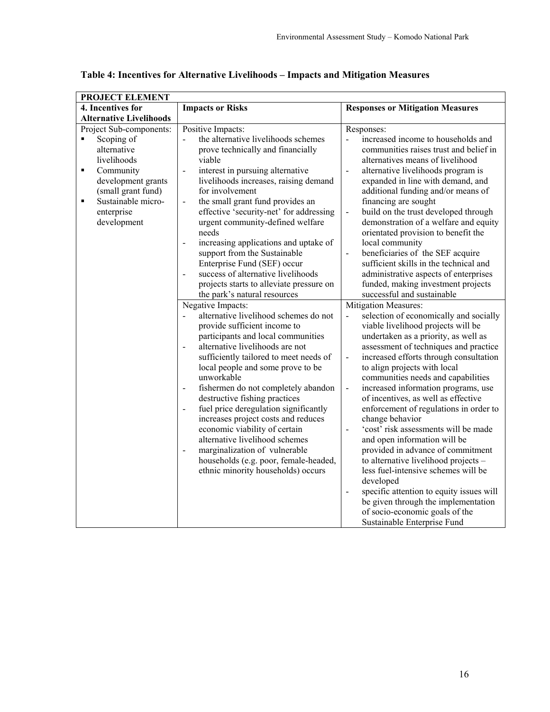| 4. Incentives for<br><b>Alternative Livelihoods</b><br>Project Sub-components:<br>Scoping of<br>٠<br>alternative                               | <b>Impacts or Risks</b><br>Positive Impacts:<br>the alternative livelihoods schemes                                                                                                                                                                                                                                                                                                                                                                                                                                                                                                                                                                                                                                                                                                                                                                                                                                                                                                                                                                                                                                                                                                                                         | <b>Responses or Mitigation Measures</b><br>Responses:                                                                                                                                                                                                                                                                                                                                                                                                                                                                                                                                                                                                                                                                                                                                                                                                                                                                                                                                                                                                                                                                                                                                                                                                                                                                                                                                                                                                                     |
|------------------------------------------------------------------------------------------------------------------------------------------------|-----------------------------------------------------------------------------------------------------------------------------------------------------------------------------------------------------------------------------------------------------------------------------------------------------------------------------------------------------------------------------------------------------------------------------------------------------------------------------------------------------------------------------------------------------------------------------------------------------------------------------------------------------------------------------------------------------------------------------------------------------------------------------------------------------------------------------------------------------------------------------------------------------------------------------------------------------------------------------------------------------------------------------------------------------------------------------------------------------------------------------------------------------------------------------------------------------------------------------|---------------------------------------------------------------------------------------------------------------------------------------------------------------------------------------------------------------------------------------------------------------------------------------------------------------------------------------------------------------------------------------------------------------------------------------------------------------------------------------------------------------------------------------------------------------------------------------------------------------------------------------------------------------------------------------------------------------------------------------------------------------------------------------------------------------------------------------------------------------------------------------------------------------------------------------------------------------------------------------------------------------------------------------------------------------------------------------------------------------------------------------------------------------------------------------------------------------------------------------------------------------------------------------------------------------------------------------------------------------------------------------------------------------------------------------------------------------------------|
|                                                                                                                                                |                                                                                                                                                                                                                                                                                                                                                                                                                                                                                                                                                                                                                                                                                                                                                                                                                                                                                                                                                                                                                                                                                                                                                                                                                             |                                                                                                                                                                                                                                                                                                                                                                                                                                                                                                                                                                                                                                                                                                                                                                                                                                                                                                                                                                                                                                                                                                                                                                                                                                                                                                                                                                                                                                                                           |
|                                                                                                                                                |                                                                                                                                                                                                                                                                                                                                                                                                                                                                                                                                                                                                                                                                                                                                                                                                                                                                                                                                                                                                                                                                                                                                                                                                                             |                                                                                                                                                                                                                                                                                                                                                                                                                                                                                                                                                                                                                                                                                                                                                                                                                                                                                                                                                                                                                                                                                                                                                                                                                                                                                                                                                                                                                                                                           |
| livelihoods<br>Community<br>٠<br>development grants<br>(small grant fund)<br>Sustainable micro-<br>$\blacksquare$<br>enterprise<br>development | prove technically and financially<br>viable<br>interest in pursuing alternative<br>$\blacksquare$<br>livelihoods increases, raising demand<br>for involvement<br>the small grant fund provides an<br>$\blacksquare$<br>effective 'security-net' for addressing<br>urgent community-defined welfare<br>needs<br>increasing applications and uptake of<br>$\blacksquare$<br>support from the Sustainable<br>Enterprise Fund (SEF) occur<br>success of alternative livelihoods<br>projects starts to alleviate pressure on<br>the park's natural resources<br>Negative Impacts:<br>alternative livelihood schemes do not<br>provide sufficient income to<br>participants and local communities<br>alternative livelihoods are not<br>$\frac{1}{2}$<br>sufficiently tailored to meet needs of<br>local people and some prove to be<br>unworkable<br>fishermen do not completely abandon<br>destructive fishing practices<br>fuel price deregulation significantly<br>$\blacksquare$<br>increases project costs and reduces<br>economic viability of certain<br>alternative livelihood schemes<br>marginalization of vulnerable<br>$\blacksquare$<br>households (e.g. poor, female-headed,<br>ethnic minority households) occurs | increased income to households and<br>$\overline{a}$<br>communities raises trust and belief in<br>alternatives means of livelihood<br>alternative livelihoods program is<br>$\frac{1}{2}$<br>expanded in line with demand, and<br>additional funding and/or means of<br>financing are sought<br>build on the trust developed through<br>$\blacksquare$<br>demonstration of a welfare and equity<br>orientated provision to benefit the<br>local community<br>beneficiaries of the SEF acquire<br>$\blacksquare$<br>sufficient skills in the technical and<br>administrative aspects of enterprises<br>funded, making investment projects<br>successful and sustainable<br>Mitigation Measures:<br>selection of economically and socially<br>$\overline{a}$<br>viable livelihood projects will be<br>undertaken as a priority, as well as<br>assessment of techniques and practice<br>increased efforts through consultation<br>$\blacksquare$<br>to align projects with local<br>communities needs and capabilities<br>increased information programs, use<br>$\blacksquare$<br>of incentives, as well as effective<br>enforcement of regulations in order to<br>change behavior<br>'cost' risk assessments will be made<br>$\overline{a}$<br>and open information will be<br>provided in advance of commitment<br>to alternative livelihood projects -<br>less fuel-intensive schemes will be<br>developed<br>specific attention to equity issues will<br>$\blacksquare$ |
|                                                                                                                                                |                                                                                                                                                                                                                                                                                                                                                                                                                                                                                                                                                                                                                                                                                                                                                                                                                                                                                                                                                                                                                                                                                                                                                                                                                             | be given through the implementation<br>of socio-economic goals of the<br>Sustainable Enterprise Fund                                                                                                                                                                                                                                                                                                                                                                                                                                                                                                                                                                                                                                                                                                                                                                                                                                                                                                                                                                                                                                                                                                                                                                                                                                                                                                                                                                      |

**Table 4: Incentives for Alternative Livelihoods – Impacts and Mitigation Measures**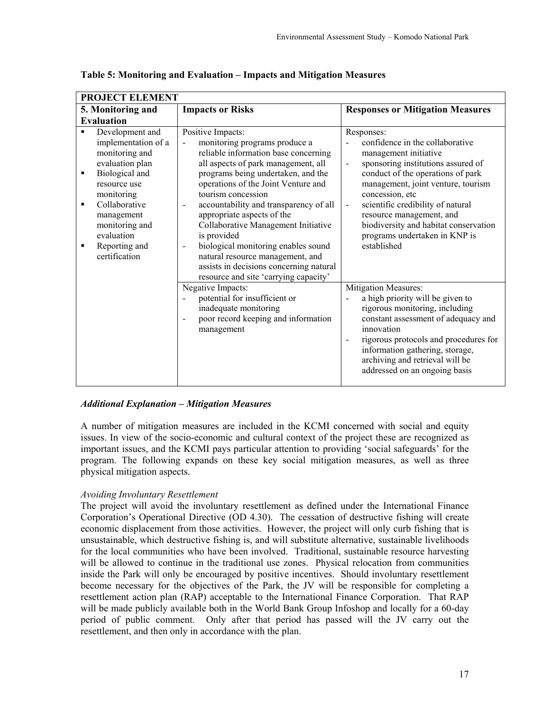| <b>PROJECT ELEMENT</b>                                                                                                                                                                                                                                                                               |                                                                                                                                                                                                                                                                                                                                                                                                                                                                                                                                                                                                                           |                                                                                                                                                                                                                                                                                                                                                                                                          |
|------------------------------------------------------------------------------------------------------------------------------------------------------------------------------------------------------------------------------------------------------------------------------------------------------|---------------------------------------------------------------------------------------------------------------------------------------------------------------------------------------------------------------------------------------------------------------------------------------------------------------------------------------------------------------------------------------------------------------------------------------------------------------------------------------------------------------------------------------------------------------------------------------------------------------------------|----------------------------------------------------------------------------------------------------------------------------------------------------------------------------------------------------------------------------------------------------------------------------------------------------------------------------------------------------------------------------------------------------------|
| 5. Monitoring and                                                                                                                                                                                                                                                                                    | <b>Impacts or Risks</b>                                                                                                                                                                                                                                                                                                                                                                                                                                                                                                                                                                                                   | <b>Responses or Mitigation Measures</b>                                                                                                                                                                                                                                                                                                                                                                  |
| <b>Evaluation</b>                                                                                                                                                                                                                                                                                    |                                                                                                                                                                                                                                                                                                                                                                                                                                                                                                                                                                                                                           |                                                                                                                                                                                                                                                                                                                                                                                                          |
| Development and<br>$\blacksquare$<br>implementation of a<br>monitoring and<br>evaluation plan<br>Biological and<br>$\blacksquare$<br>resource use<br>monitoring<br>Collaborative<br>$\blacksquare$<br>management<br>monitoring and<br>evaluation<br>Reporting and<br>$\blacksquare$<br>certification | Positive Impacts:<br>monitoring programs produce a<br>$\qquad \qquad \blacksquare$<br>reliable information base concerning<br>all aspects of park management, all<br>programs being undertaken, and the<br>operations of the Joint Venture and<br>tourism concession<br>accountability and transparency of all<br>$\overline{\phantom{0}}$<br>appropriate aspects of the<br>Collaborative Management Initiative<br>is provided<br>biological monitoring enables sound<br>$\overline{\phantom{0}}$<br>natural resource management, and<br>assists in decisions concerning natural<br>resource and site 'carrying capacity' | Responses:<br>confidence in the collaborative<br>management initiative<br>sponsoring institutions assured of<br>$\overline{a}$<br>conduct of the operations of park<br>management, joint venture, tourism<br>concession, etc<br>scientific credibility of natural<br>$\blacksquare$<br>resource management, and<br>biodiversity and habitat conservation<br>programs undertaken in KNP is<br>established |
|                                                                                                                                                                                                                                                                                                      | Negative Impacts:<br>potential for insufficient or<br>$\overline{a}$<br>inadequate monitoring<br>poor record keeping and information<br>$\overline{a}$<br>management                                                                                                                                                                                                                                                                                                                                                                                                                                                      | <b>Mitigation Measures:</b><br>a high priority will be given to<br>rigorous monitoring, including<br>constant assessment of adequacy and<br>innovation<br>rigorous protocols and procedures for<br>$\overline{a}$<br>information gathering, storage,<br>archiving and retrieval will be<br>addressed on an ongoing basis                                                                                 |

**Table 5: Monitoring and Evaluation – Impacts and Mitigation Measures** 

## *Additional Explanation – Mitigation Measures*

A number of mitigation measures are included in the KCMI concerned with social and equity issues. In view of the socio-economic and cultural context of the project these are recognized as important issues, and the KCMI pays particular attention to providing 'social safeguards' for the program. The following expands on these key social mitigation measures, as well as three physical mitigation aspects.

## *Avoiding Involuntary Resettlement*

The project will avoid the involuntary resettlement as defined under the International Finance Corporation's Operational Directive (OD 4.30). The cessation of destructive fishing will create economic displacement from those activities. However, the project will only curb fishing that is unsustainable, which destructive fishing is, and will substitute alternative, sustainable livelihoods for the local communities who have been involved. Traditional, sustainable resource harvesting will be allowed to continue in the traditional use zones. Physical relocation from communities inside the Park will only be encouraged by positive incentives. Should involuntary resettlement become necessary for the objectives of the Park, the JV will be responsible for completing a resettlement action plan (RAP) acceptable to the International Finance Corporation. That RAP will be made publicly available both in the World Bank Group Infoshop and locally for a 60-day period of public comment. Only after that period has passed will the JV carry out the resettlement, and then only in accordance with the plan.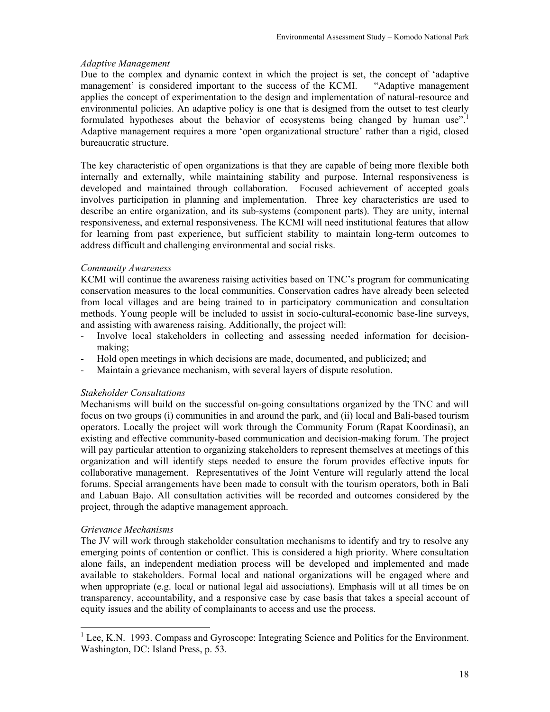#### *Adaptive Management*

Due to the complex and dynamic context in which the project is set, the concept of 'adaptive management' is considered important to the success of the KCMI. "Adaptive management applies the concept of experimentation to the design and implementation of natural-resource and environmental policies. An adaptive policy is one that is designed from the outset to test clearly formulated hypotheses about the behavior of ecosystems being changed by human use".<sup>1</sup> Adaptive management requires a more 'open organizational structure' rather than a rigid, closed bureaucratic structure.

The key characteristic of open organizations is that they are capable of being more flexible both internally and externally, while maintaining stability and purpose. Internal responsiveness is developed and maintained through collaboration. Focused achievement of accepted goals involves participation in planning and implementation. Three key characteristics are used to describe an entire organization, and its sub-systems (component parts). They are unity, internal responsiveness, and external responsiveness. The KCMI will need institutional features that allow for learning from past experience, but sufficient stability to maintain long-term outcomes to address difficult and challenging environmental and social risks.

#### *Community Awareness*

KCMI will continue the awareness raising activities based on TNC's program for communicating conservation measures to the local communities. Conservation cadres have already been selected from local villages and are being trained to in participatory communication and consultation methods. Young people will be included to assist in socio-cultural-economic base-line surveys, and assisting with awareness raising. Additionally, the project will:

- Involve local stakeholders in collecting and assessing needed information for decisionmaking;
- Hold open meetings in which decisions are made, documented, and publicized; and
- Maintain a grievance mechanism, with several layers of dispute resolution.

#### *Stakeholder Consultations*

Mechanisms will build on the successful on-going consultations organized by the TNC and will focus on two groups (i) communities in and around the park, and (ii) local and Bali-based tourism operators. Locally the project will work through the Community Forum (Rapat Koordinasi), an existing and effective community-based communication and decision-making forum. The project will pay particular attention to organizing stakeholders to represent themselves at meetings of this organization and will identify steps needed to ensure the forum provides effective inputs for collaborative management. Representatives of the Joint Venture will regularly attend the local forums. Special arrangements have been made to consult with the tourism operators, both in Bali and Labuan Bajo. All consultation activities will be recorded and outcomes considered by the project, through the adaptive management approach.

#### *Grievance Mechanisms*

l

The JV will work through stakeholder consultation mechanisms to identify and try to resolve any emerging points of contention or conflict. This is considered a high priority. Where consultation alone fails, an independent mediation process will be developed and implemented and made available to stakeholders. Formal local and national organizations will be engaged where and when appropriate (e.g. local or national legal aid associations). Emphasis will at all times be on transparency, accountability, and a responsive case by case basis that takes a special account of equity issues and the ability of complainants to access and use the process.

<sup>&</sup>lt;sup>1</sup> Lee, K.N. 1993. Compass and Gyroscope: Integrating Science and Politics for the Environment. Washington, DC: Island Press, p. 53.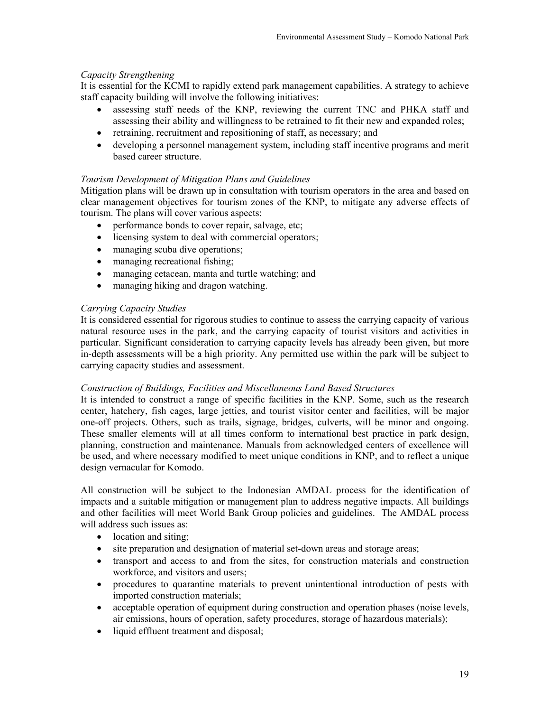## *Capacity Strengthening*

It is essential for the KCMI to rapidly extend park management capabilities. A strategy to achieve staff capacity building will involve the following initiatives:

- assessing staff needs of the KNP, reviewing the current TNC and PHKA staff and assessing their ability and willingness to be retrained to fit their new and expanded roles;
- retraining, recruitment and repositioning of staff, as necessary; and
- developing a personnel management system, including staff incentive programs and merit based career structure.

## *Tourism Development of Mitigation Plans and Guidelines*

Mitigation plans will be drawn up in consultation with tourism operators in the area and based on clear management objectives for tourism zones of the KNP, to mitigate any adverse effects of tourism. The plans will cover various aspects:

- performance bonds to cover repair, salvage, etc;
- licensing system to deal with commercial operators;
- managing scuba dive operations;
- managing recreational fishing;
- managing cetacean, manta and turtle watching; and
- managing hiking and dragon watching.

## *Carrying Capacity Studies*

It is considered essential for rigorous studies to continue to assess the carrying capacity of various natural resource uses in the park, and the carrying capacity of tourist visitors and activities in particular. Significant consideration to carrying capacity levels has already been given, but more in-depth assessments will be a high priority. Any permitted use within the park will be subject to carrying capacity studies and assessment.

## *Construction of Buildings, Facilities and Miscellaneous Land Based Structures*

It is intended to construct a range of specific facilities in the KNP. Some, such as the research center, hatchery, fish cages, large jetties, and tourist visitor center and facilities, will be major one-off projects. Others, such as trails, signage, bridges, culverts, will be minor and ongoing. These smaller elements will at all times conform to international best practice in park design, planning, construction and maintenance. Manuals from acknowledged centers of excellence will be used, and where necessary modified to meet unique conditions in KNP, and to reflect a unique design vernacular for Komodo.

All construction will be subject to the Indonesian AMDAL process for the identification of impacts and a suitable mitigation or management plan to address negative impacts. All buildings and other facilities will meet World Bank Group policies and guidelines. The AMDAL process will address such issues as:

- location and siting;
- site preparation and designation of material set-down areas and storage areas;
- transport and access to and from the sites, for construction materials and construction workforce, and visitors and users;
- procedures to quarantine materials to prevent unintentional introduction of pests with imported construction materials;
- acceptable operation of equipment during construction and operation phases (noise levels, air emissions, hours of operation, safety procedures, storage of hazardous materials);
- liquid effluent treatment and disposal;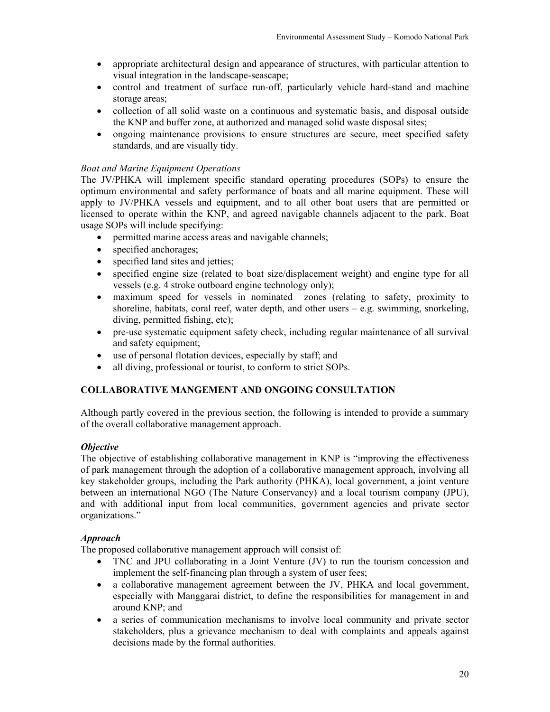- appropriate architectural design and appearance of structures, with particular attention to visual integration in the landscape-seascape;
- control and treatment of surface run-off, particularly vehicle hard-stand and machine storage areas;
- collection of all solid waste on a continuous and systematic basis, and disposal outside the KNP and buffer zone, at authorized and managed solid waste disposal sites;
- ongoing maintenance provisions to ensure structures are secure, meet specified safety standards, and are visually tidy.

## *Boat and Marine Equipment Operations*

The JV/PHKA will implement specific standard operating procedures (SOPs) to ensure the optimum environmental and safety performance of boats and all marine equipment. These will apply to JV/PHKA vessels and equipment, and to all other boat users that are permitted or licensed to operate within the KNP, and agreed navigable channels adjacent to the park. Boat usage SOPs will include specifying:

- permitted marine access areas and navigable channels;
- specified anchorages;
- specified land sites and jetties;
- specified engine size (related to boat size/displacement weight) and engine type for all vessels (e.g. 4 stroke outboard engine technology only);
- maximum speed for vessels in nominated zones (relating to safety, proximity to shoreline, habitats, coral reef, water depth, and other users  $-$  e.g. swimming, snorkeling, diving, permitted fishing, etc);
- pre-use systematic equipment safety check, including regular maintenance of all survival and safety equipment;
- use of personal flotation devices, especially by staff; and
- all diving, professional or tourist, to conform to strict SOPs.

## **COLLABORATIVE MANGEMENT AND ONGOING CONSULTATION**

Although partly covered in the previous section, the following is intended to provide a summary of the overall collaborative management approach.

## *Objective*

The objective of establishing collaborative management in KNP is "improving the effectiveness of park management through the adoption of a collaborative management approach, involving all key stakeholder groups, including the Park authority (PHKA), local government, a joint venture between an international NGO (The Nature Conservancy) and a local tourism company (JPU), and with additional input from local communities, government agencies and private sector organizations."

## *Approach*

The proposed collaborative management approach will consist of:

- TNC and JPU collaborating in a Joint Venture (JV) to run the tourism concession and implement the self-financing plan through a system of user fees;
- a collaborative management agreement between the JV, PHKA and local government, especially with Manggarai district, to define the responsibilities for management in and around KNP; and
- a series of communication mechanisms to involve local community and private sector stakeholders, plus a grievance mechanism to deal with complaints and appeals against decisions made by the formal authorities.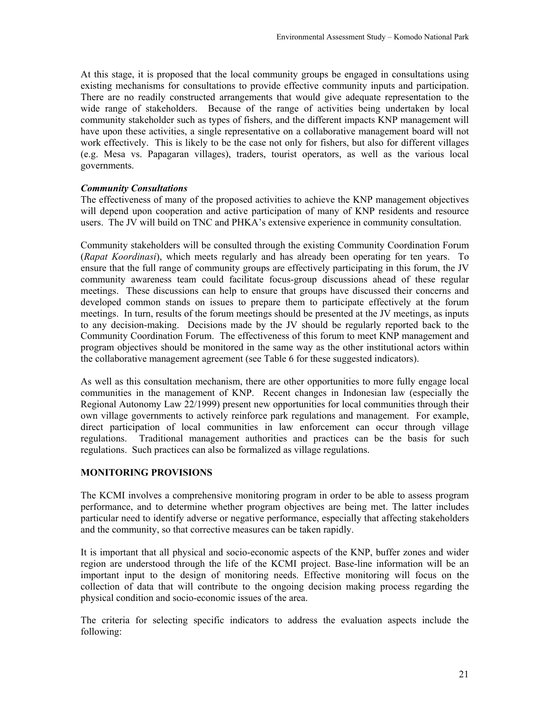At this stage, it is proposed that the local community groups be engaged in consultations using existing mechanisms for consultations to provide effective community inputs and participation. There are no readily constructed arrangements that would give adequate representation to the wide range of stakeholders. Because of the range of activities being undertaken by local community stakeholder such as types of fishers, and the different impacts KNP management will have upon these activities, a single representative on a collaborative management board will not work effectively. This is likely to be the case not only for fishers, but also for different villages (e.g. Mesa vs. Papagaran villages), traders, tourist operators, as well as the various local governments.

## *Community Consultations*

The effectiveness of many of the proposed activities to achieve the KNP management objectives will depend upon cooperation and active participation of many of KNP residents and resource users. The JV will build on TNC and PHKA's extensive experience in community consultation.

Community stakeholders will be consulted through the existing Community Coordination Forum (*Rapat Koordinasi*), which meets regularly and has already been operating for ten years. To ensure that the full range of community groups are effectively participating in this forum, the JV community awareness team could facilitate focus-group discussions ahead of these regular meetings. These discussions can help to ensure that groups have discussed their concerns and developed common stands on issues to prepare them to participate effectively at the forum meetings. In turn, results of the forum meetings should be presented at the JV meetings, as inputs to any decision-making. Decisions made by the JV should be regularly reported back to the Community Coordination Forum. The effectiveness of this forum to meet KNP management and program objectives should be monitored in the same way as the other institutional actors within the collaborative management agreement (see Table 6 for these suggested indicators).

As well as this consultation mechanism, there are other opportunities to more fully engage local communities in the management of KNP. Recent changes in Indonesian law (especially the Regional Autonomy Law 22/1999) present new opportunities for local communities through their own village governments to actively reinforce park regulations and management. For example, direct participation of local communities in law enforcement can occur through village regulations. Traditional management authorities and practices can be the basis for such regulations. Such practices can also be formalized as village regulations.

## **MONITORING PROVISIONS**

The KCMI involves a comprehensive monitoring program in order to be able to assess program performance, and to determine whether program objectives are being met. The latter includes particular need to identify adverse or negative performance, especially that affecting stakeholders and the community, so that corrective measures can be taken rapidly.

It is important that all physical and socio-economic aspects of the KNP, buffer zones and wider region are understood through the life of the KCMI project. Base-line information will be an important input to the design of monitoring needs. Effective monitoring will focus on the collection of data that will contribute to the ongoing decision making process regarding the physical condition and socio-economic issues of the area.

The criteria for selecting specific indicators to address the evaluation aspects include the following: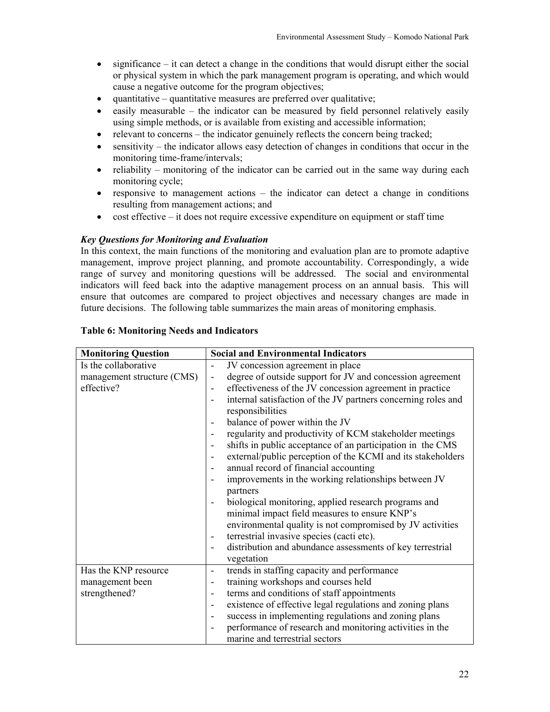- significance it can detect a change in the conditions that would disrupt either the social or physical system in which the park management program is operating, and which would cause a negative outcome for the program objectives;
- quantitative quantitative measures are preferred over qualitative;
- easily measurable the indicator can be measured by field personnel relatively easily using simple methods, or is available from existing and accessible information;
- relevant to concerns the indicator genuinely reflects the concern being tracked;
- sensitivity the indicator allows easy detection of changes in conditions that occur in the monitoring time-frame/intervals;
- reliability monitoring of the indicator can be carried out in the same way during each monitoring cycle;
- responsive to management actions the indicator can detect a change in conditions resulting from management actions; and
- cost effective it does not require excessive expenditure on equipment or staff time

## *Key Questions for Monitoring and Evaluation*

In this context, the main functions of the monitoring and evaluation plan are to promote adaptive management, improve project planning, and promote accountability. Correspondingly, a wide range of survey and monitoring questions will be addressed. The social and environmental indicators will feed back into the adaptive management process on an annual basis. This will ensure that outcomes are compared to project objectives and necessary changes are made in future decisions. The following table summarizes the main areas of monitoring emphasis.

| <b>Monitoring Question</b> | <b>Social and Environmental Indicators</b>                                             |
|----------------------------|----------------------------------------------------------------------------------------|
| Is the collaborative       | JV concession agreement in place                                                       |
| management structure (CMS) | degree of outside support for JV and concession agreement                              |
| effective?                 | effectiveness of the JV concession agreement in practice                               |
|                            | internal satisfaction of the JV partners concerning roles and<br>responsibilities      |
|                            | balance of power within the JV<br>$\overline{\phantom{a}}$                             |
|                            | regularity and productivity of KCM stakeholder meetings                                |
|                            | shifts in public acceptance of an participation in the CMS<br>$\overline{\phantom{a}}$ |
|                            | external/public perception of the KCMI and its stakeholders                            |
|                            | annual record of financial accounting                                                  |
|                            | improvements in the working relationships between JV                                   |
|                            | partners                                                                               |
|                            | biological monitoring, applied research programs and                                   |
|                            | minimal impact field measures to ensure KNP's                                          |
|                            | environmental quality is not compromised by JV activities                              |
|                            | terrestrial invasive species (cacti etc).<br>$\overline{\phantom{a}}$                  |
|                            | distribution and abundance assessments of key terrestrial<br>$\overline{\phantom{a}}$  |
|                            | vegetation                                                                             |
| Has the KNP resource       | trends in staffing capacity and performance<br>$\overline{\phantom{a}}$                |
| management been            | training workshops and courses held<br>$\blacksquare$                                  |
| strengthened?              | terms and conditions of staff appointments<br>$\overline{\phantom{a}}$                 |
|                            | existence of effective legal regulations and zoning plans<br>$\overline{\phantom{a}}$  |
|                            | success in implementing regulations and zoning plans                                   |
|                            | performance of research and monitoring activities in the                               |
|                            | marine and terrestrial sectors                                                         |

## **Table 6: Monitoring Needs and Indicators**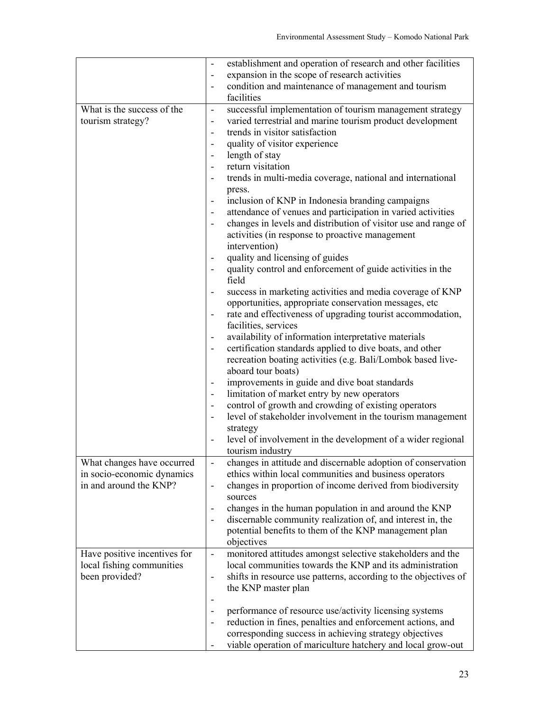|                              | establishment and operation of research and other facilities                           |
|------------------------------|----------------------------------------------------------------------------------------|
|                              | expansion in the scope of research activities<br>$\overline{\phantom{a}}$              |
|                              | condition and maintenance of management and tourism                                    |
|                              | facilities                                                                             |
| What is the success of the   | successful implementation of tourism management strategy                               |
| tourism strategy?            | varied terrestrial and marine tourism product development                              |
|                              | trends in visitor satisfaction                                                         |
|                              | quality of visitor experience                                                          |
|                              | length of stay                                                                         |
|                              | return visitation<br>$\overline{\phantom{a}}$                                          |
|                              | trends in multi-media coverage, national and international                             |
|                              | press.<br>inclusion of KNP in Indonesia branding campaigns                             |
|                              | attendance of venues and participation in varied activities                            |
|                              | changes in levels and distribution of visitor use and range of                         |
|                              | activities (in response to proactive management                                        |
|                              | intervention)                                                                          |
|                              | quality and licensing of guides                                                        |
|                              | quality control and enforcement of guide activities in the                             |
|                              | field                                                                                  |
|                              | success in marketing activities and media coverage of KNP                              |
|                              | opportunities, appropriate conservation messages, etc                                  |
|                              | rate and effectiveness of upgrading tourist accommodation,                             |
|                              | facilities, services                                                                   |
|                              | availability of information interpretative materials                                   |
|                              | certification standards applied to dive boats, and other                               |
|                              | recreation boating activities (e.g. Bali/Lombok based live-<br>aboard tour boats)      |
|                              | improvements in guide and dive boat standards                                          |
|                              | limitation of market entry by new operators                                            |
|                              | control of growth and crowding of existing operators                                   |
|                              | level of stakeholder involvement in the tourism management                             |
|                              | strategy                                                                               |
|                              | level of involvement in the development of a wider regional                            |
|                              | tourism industry                                                                       |
| What changes have occurred   | changes in attitude and discernable adoption of conservation                           |
| in socio-economic dynamics   | ethics within local communities and business operators                                 |
| in and around the KNP?       | changes in proportion of income derived from biodiversity<br>$\overline{\phantom{a}}$  |
|                              | sources<br>changes in the human population in and around the KNP                       |
|                              | discernable community realization of, and interest in, the                             |
|                              | potential benefits to them of the KNP management plan                                  |
|                              | objectives                                                                             |
| Have positive incentives for | monitored attitudes amongst selective stakeholders and the<br>$\overline{\phantom{a}}$ |
| local fishing communities    | local communities towards the KNP and its administration                               |
| been provided?               | shifts in resource use patterns, according to the objectives of                        |
|                              | the KNP master plan                                                                    |
|                              |                                                                                        |
|                              | performance of resource use/activity licensing systems                                 |
|                              | reduction in fines, penalties and enforcement actions, and                             |
|                              | corresponding success in achieving strategy objectives                                 |
|                              | viable operation of mariculture hatchery and local grow-out                            |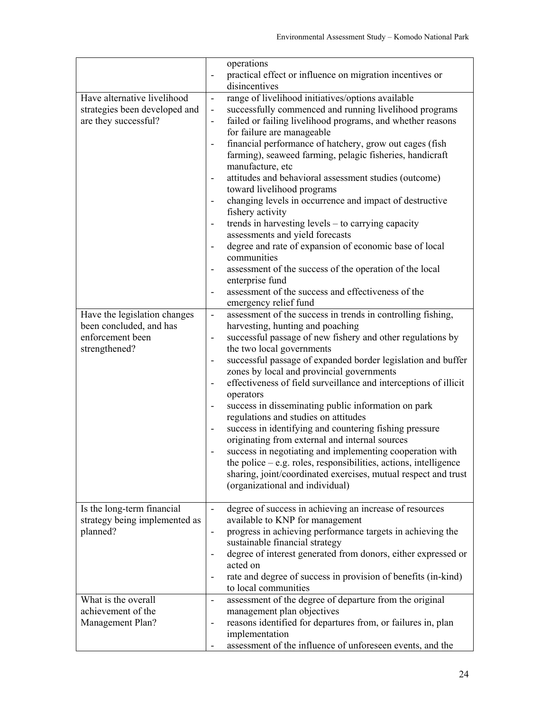|                               | operations                                                                                                                                |
|-------------------------------|-------------------------------------------------------------------------------------------------------------------------------------------|
|                               | practical effect or influence on migration incentives or<br>disincentives                                                                 |
| Have alternative livelihood   | range of livelihood initiatives/options available<br>$\overline{\phantom{a}}$                                                             |
| strategies been developed and | successfully commenced and running livelihood programs<br>$\overline{\phantom{a}}$                                                        |
| are they successful?          | failed or failing livelihood programs, and whether reasons                                                                                |
|                               | for failure are manageable                                                                                                                |
|                               | financial performance of hatchery, grow out cages (fish                                                                                   |
|                               | farming), seaweed farming, pelagic fisheries, handicraft                                                                                  |
|                               | manufacture, etc                                                                                                                          |
|                               | attitudes and behavioral assessment studies (outcome)<br>$\qquad \qquad \blacksquare$                                                     |
|                               | toward livelihood programs                                                                                                                |
|                               | changing levels in occurrence and impact of destructive<br>$\qquad \qquad \blacksquare$                                                   |
|                               | fishery activity                                                                                                                          |
|                               | trends in harvesting levels – to carrying capacity                                                                                        |
|                               | assessments and yield forecasts<br>degree and rate of expansion of economic base of local                                                 |
|                               | communities                                                                                                                               |
|                               | assessment of the success of the operation of the local<br>$\qquad \qquad \blacksquare$                                                   |
|                               | enterprise fund                                                                                                                           |
|                               | assessment of the success and effectiveness of the                                                                                        |
|                               | emergency relief fund                                                                                                                     |
| Have the legislation changes  | assessment of the success in trends in controlling fishing,<br>$\blacksquare$                                                             |
| been concluded, and has       | harvesting, hunting and poaching                                                                                                          |
| enforcement been              | successful passage of new fishery and other regulations by                                                                                |
| strengthened?                 | the two local governments                                                                                                                 |
|                               | successful passage of expanded border legislation and buffer<br>$\qquad \qquad \blacksquare$<br>zones by local and provincial governments |
|                               | effectiveness of field surveillance and interceptions of illicit<br>$\overline{\phantom{a}}$                                              |
|                               | operators                                                                                                                                 |
|                               | success in disseminating public information on park<br>$\overline{\phantom{a}}$                                                           |
|                               | regulations and studies on attitudes                                                                                                      |
|                               | success in identifying and countering fishing pressure                                                                                    |
|                               | originating from external and internal sources                                                                                            |
|                               | success in negotiating and implementing cooperation with                                                                                  |
|                               | the police - e.g. roles, responsibilities, actions, intelligence                                                                          |
|                               | sharing, joint/coordinated exercises, mutual respect and trust                                                                            |
|                               | (organizational and individual)                                                                                                           |
| Is the long-term financial    | degree of success in achieving an increase of resources<br>$\blacksquare$                                                                 |
| strategy being implemented as | available to KNP for management                                                                                                           |
| planned?                      | progress in achieving performance targets in achieving the                                                                                |
|                               | sustainable financial strategy                                                                                                            |
|                               | degree of interest generated from donors, either expressed or                                                                             |
|                               | acted on                                                                                                                                  |
|                               | rate and degree of success in provision of benefits (in-kind)                                                                             |
|                               | to local communities                                                                                                                      |
| What is the overall           | assessment of the degree of departure from the original<br>$\overline{\phantom{a}}$                                                       |
| achievement of the            | management plan objectives                                                                                                                |
| Management Plan?              | reasons identified for departures from, or failures in, plan                                                                              |
|                               | implementation                                                                                                                            |
|                               | assessment of the influence of unforeseen events, and the                                                                                 |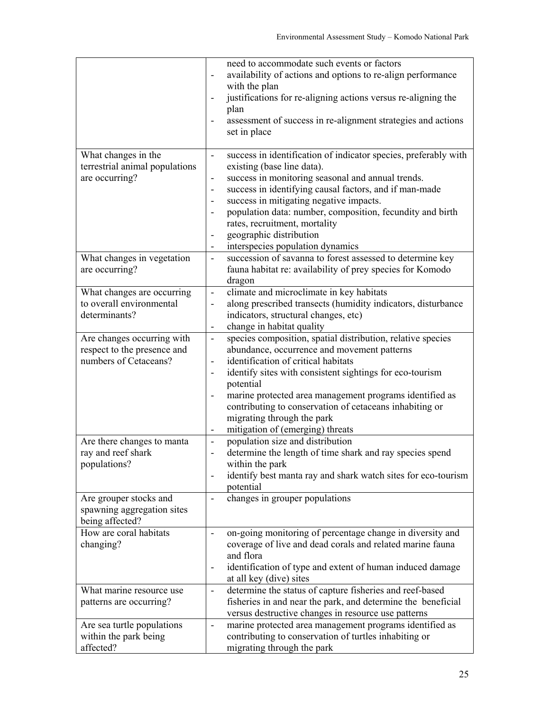|                                                           | need to accommodate such events or factors<br>availability of actions and options to re-align performance<br>$\blacksquare$<br>with the plan<br>justifications for re-aligning actions versus re-aligning the<br>plan<br>assessment of success in re-alignment strategies and actions<br>set in place |
|-----------------------------------------------------------|-------------------------------------------------------------------------------------------------------------------------------------------------------------------------------------------------------------------------------------------------------------------------------------------------------|
| What changes in the                                       | success in identification of indicator species, preferably with<br>$\overline{\phantom{a}}$                                                                                                                                                                                                           |
| terrestrial animal populations                            | existing (base line data).                                                                                                                                                                                                                                                                            |
| are occurring?                                            | success in monitoring seasonal and annual trends.<br>$\overline{\phantom{a}}$<br>success in identifying causal factors, and if man-made<br>$\overline{\phantom{a}}$                                                                                                                                   |
|                                                           | success in mitigating negative impacts.                                                                                                                                                                                                                                                               |
|                                                           | population data: number, composition, fecundity and birth                                                                                                                                                                                                                                             |
|                                                           | rates, recruitment, mortality                                                                                                                                                                                                                                                                         |
|                                                           | geographic distribution<br>$\overline{\phantom{a}}$                                                                                                                                                                                                                                                   |
|                                                           | interspecies population dynamics<br>۰                                                                                                                                                                                                                                                                 |
| What changes in vegetation<br>are occurring?              | succession of savanna to forest assessed to determine key<br>$\overline{\phantom{a}}$<br>fauna habitat re: availability of prey species for Komodo<br>dragon                                                                                                                                          |
| What changes are occurring                                | climate and microclimate in key habitats<br>$\blacksquare$                                                                                                                                                                                                                                            |
| to overall environmental                                  | along prescribed transects (humidity indicators, disturbance<br>$\overline{\phantom{a}}$                                                                                                                                                                                                              |
| determinants?                                             | indicators, structural changes, etc)                                                                                                                                                                                                                                                                  |
|                                                           | change in habitat quality<br>۰                                                                                                                                                                                                                                                                        |
| Are changes occurring with<br>respect to the presence and | species composition, spatial distribution, relative species<br>$\blacksquare$<br>abundance, occurrence and movement patterns                                                                                                                                                                          |
| numbers of Cetaceans?                                     | identification of critical habitats<br>$\overline{\phantom{a}}$                                                                                                                                                                                                                                       |
|                                                           | identify sites with consistent sightings for eco-tourism<br>$\overline{\phantom{m}}$                                                                                                                                                                                                                  |
|                                                           | potential                                                                                                                                                                                                                                                                                             |
|                                                           | marine protected area management programs identified as                                                                                                                                                                                                                                               |
|                                                           | contributing to conservation of cetaceans inhabiting or                                                                                                                                                                                                                                               |
|                                                           | migrating through the park                                                                                                                                                                                                                                                                            |
|                                                           | mitigation of (emerging) threats<br>-                                                                                                                                                                                                                                                                 |
| Are there changes to manta<br>ray and reef shark          | population size and distribution<br>$\qquad \qquad \blacksquare$<br>determine the length of time shark and ray species spend<br>$\qquad \qquad \blacksquare$                                                                                                                                          |
| populations?                                              | within the park                                                                                                                                                                                                                                                                                       |
|                                                           | identify best manta ray and shark watch sites for eco-tourism<br>$\overline{\phantom{a}}$                                                                                                                                                                                                             |
|                                                           | potential                                                                                                                                                                                                                                                                                             |
| Are grouper stocks and                                    | changes in grouper populations<br>$\qquad \qquad \blacksquare$                                                                                                                                                                                                                                        |
| spawning aggregation sites<br>being affected?             |                                                                                                                                                                                                                                                                                                       |
| How are coral habitats                                    | on-going monitoring of percentage change in diversity and                                                                                                                                                                                                                                             |
| changing?                                                 | coverage of live and dead corals and related marine fauna<br>and flora                                                                                                                                                                                                                                |
|                                                           | identification of type and extent of human induced damage                                                                                                                                                                                                                                             |
|                                                           | at all key (dive) sites                                                                                                                                                                                                                                                                               |
| What marine resource use                                  | determine the status of capture fisheries and reef-based<br>$\overline{\phantom{a}}$                                                                                                                                                                                                                  |
| patterns are occurring?                                   | fisheries in and near the park, and determine the beneficial                                                                                                                                                                                                                                          |
|                                                           | versus destructive changes in resource use patterns                                                                                                                                                                                                                                                   |
| Are sea turtle populations                                | marine protected area management programs identified as<br>$\overline{\phantom{a}}$                                                                                                                                                                                                                   |
| within the park being                                     | contributing to conservation of turtles inhabiting or                                                                                                                                                                                                                                                 |
| affected?                                                 | migrating through the park                                                                                                                                                                                                                                                                            |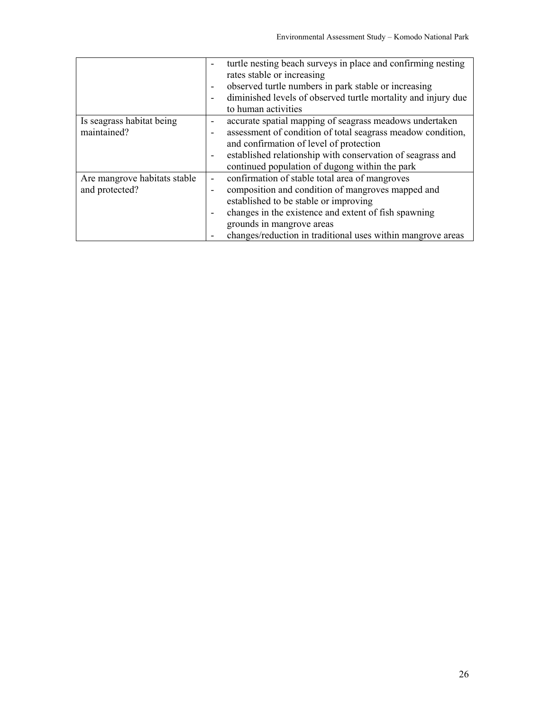|                              | turtle nesting beach surveys in place and confirming nesting  |
|------------------------------|---------------------------------------------------------------|
|                              | rates stable or increasing                                    |
|                              | observed turtle numbers in park stable or increasing<br>۰     |
|                              | diminished levels of observed turtle mortality and injury due |
|                              | to human activities                                           |
| Is seagrass habitat being    | accurate spatial mapping of seagrass meadows undertaken       |
| maintained?                  | assessment of condition of total seagrass meadow condition,   |
|                              | and confirmation of level of protection                       |
|                              | established relationship with conservation of seagrass and    |
|                              | continued population of dugong within the park                |
| Are mangrove habitats stable | confirmation of stable total area of mangroves                |
| and protected?               | composition and condition of mangroves mapped and<br>۰        |
|                              | established to be stable or improving                         |
|                              | changes in the existence and extent of fish spawning          |
|                              | grounds in mangrove areas                                     |
|                              | changes/reduction in traditional uses within mangrove areas   |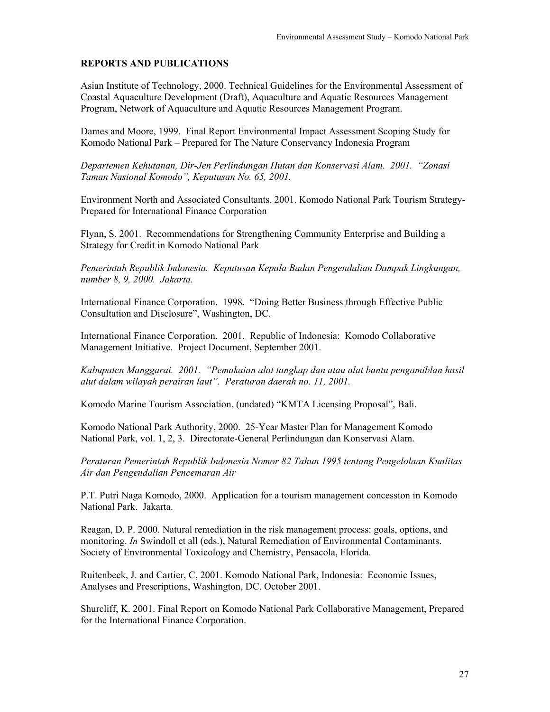## **REPORTS AND PUBLICATIONS**

Asian Institute of Technology, 2000. Technical Guidelines for the Environmental Assessment of Coastal Aquaculture Development (Draft), Aquaculture and Aquatic Resources Management Program, Network of Aquaculture and Aquatic Resources Management Program.

Dames and Moore, 1999. Final Report Environmental Impact Assessment Scoping Study for Komodo National Park – Prepared for The Nature Conservancy Indonesia Program

*Departemen Kehutanan, Dir-Jen Perlindungan Hutan dan Konservasi Alam. 2001. "Zonasi Taman Nasional Komodo", Keputusan No. 65, 2001.*

Environment North and Associated Consultants, 2001. Komodo National Park Tourism Strategy-Prepared for International Finance Corporation

Flynn, S. 2001. Recommendations for Strengthening Community Enterprise and Building a Strategy for Credit in Komodo National Park

*Pemerintah Republik Indonesia. Keputusan Kepala Badan Pengendalian Dampak Lingkungan, number 8, 9, 2000. Jakarta.* 

International Finance Corporation. 1998. "Doing Better Business through Effective Public Consultation and Disclosure", Washington, DC.

International Finance Corporation. 2001. Republic of Indonesia: Komodo Collaborative Management Initiative. Project Document, September 2001.

*Kabupaten Manggarai. 2001. "Pemakaian alat tangkap dan atau alat bantu pengamiblan hasil alut dalam wilayah perairan laut". Peraturan daerah no. 11, 2001.*

Komodo Marine Tourism Association. (undated) "KMTA Licensing Proposal", Bali.

Komodo National Park Authority, 2000. 25-Year Master Plan for Management Komodo National Park, vol. 1, 2, 3. Directorate-General Perlindungan dan Konservasi Alam.

*Peraturan Pemerintah Republik Indonesia Nomor 82 Tahun 1995 tentang Pengelolaan Kualitas Air dan Pengendalian Pencemaran Air* 

P.T. Putri Naga Komodo, 2000. Application for a tourism management concession in Komodo National Park. Jakarta.

Reagan, D. P. 2000. Natural remediation in the risk management process: goals, options, and monitoring. *In* Swindoll et all (eds.), Natural Remediation of Environmental Contaminants. Society of Environmental Toxicology and Chemistry, Pensacola, Florida.

Ruitenbeek, J. and Cartier, C, 2001. Komodo National Park, Indonesia: Economic Issues, Analyses and Prescriptions, Washington, DC. October 2001.

Shurcliff, K. 2001. Final Report on Komodo National Park Collaborative Management, Prepared for the International Finance Corporation.